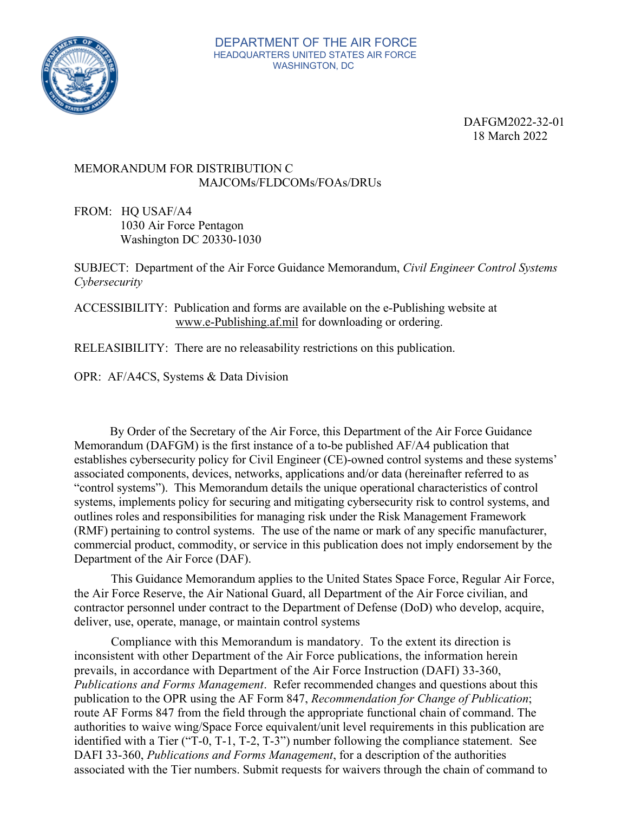

DAFGM2022-32-01 18 March 2022

# MEMORANDUM FOR DISTRIBUTION C MAJCOMs/FLDCOMs/FOAs/DRUs

FROM: HQ USAF/A4 1030 Air Force Pentagon Washington DC 20330-1030

SUBJECT: Department of the Air Force Guidance Memorandum, *Civil Engineer Control Systems Cybersecurity*

ACCESSIBILITY: Publication and forms are available on the e-Publishing website at [www.e-Publishing.af.mil](http://www.e-publishing.af.mil/) for downloading or ordering.

RELEASIBILITY: There are no releasability restrictions on this publication.

OPR: AF/A4CS, Systems & Data Division

By Order of the Secretary of the Air Force, this Department of the Air Force Guidance Memorandum (DAFGM) is the first instance of a to-be published AF/A4 publication that establishes cybersecurity policy for Civil Engineer (CE)-owned control systems and these systems' associated components, devices, networks, applications and/or data (hereinafter referred to as "control systems"). This Memorandum details the unique operational characteristics of control systems, implements policy for securing and mitigating cybersecurity risk to control systems, and outlines roles and responsibilities for managing risk under the Risk Management Framework (RMF) pertaining to control systems. The use of the name or mark of any specific manufacturer, commercial product, commodity, or service in this publication does not imply endorsement by the Department of the Air Force (DAF).

This Guidance Memorandum applies to the United States Space Force, Regular Air Force, the Air Force Reserve, the Air National Guard, all Department of the Air Force civilian, and contractor personnel under contract to the Department of Defense (DoD) who develop, acquire, deliver, use, operate, manage, or maintain control systems

Compliance with this Memorandum is mandatory. To the extent its direction is inconsistent with other Department of the Air Force publications, the information herein prevails, in accordance with Department of the [Air Force Instruction \(DAFI\)](http://static.e-publishing.af.mil/production/1/saf_aa/publication/afi33-360/afi33-360.pdf) 33-360, *[Publications and Forms Management](http://static.e-publishing.af.mil/production/1/saf_aa/publication/afi33-360/afi33-360.pdf)*. Refer recommended changes and questions about this publication to the OPR using the AF Form 847, *Recommendation for Change of Publication*; route AF Forms 847 from the field through the appropriate functional chain of command. The authorities to waive wing/Space Force equivalent/unit level requirements in this publication are identified with a Tier ("T-0, T-1, T-2, T-3") number following the compliance statement. See DAFI 33-360, *Publications and Forms Management*, for a description of the authorities associated with the Tier numbers. Submit requests for waivers through the chain of command to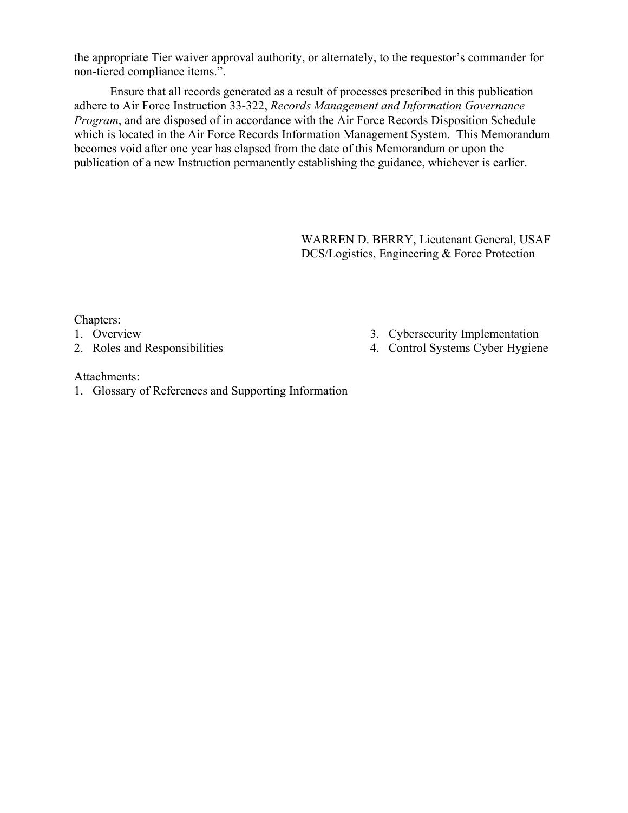the appropriate Tier waiver approval authority, or alternately, to the requestor's commander for non-tiered compliance items.".

Ensure that all records generated as a result of processes prescribed in this publication adhere to Air Force Instruction 33-322, *Records Management and Information Governance Program*, and are disposed of in accordance with the Air Force Records Disposition Schedule which is located in the Air Force Records Information Management System. This Memorandum becomes void after one year has elapsed from the date of this Memorandum or upon the publication of a new Instruction permanently establishing the guidance, whichever is earlier.

> WARREN D. BERRY, Lieutenant General, USAF DCS/Logistics, Engineering & Force Protection

#### Chapters:

- 1. [Overview](#page-2-0)
- 2. Roles and Responsibilities
- 3. Cybersecurity Implementation
- 4. Control Systems Cyber Hygiene

#### Attachments:

1. Glossary of References and Supporting Information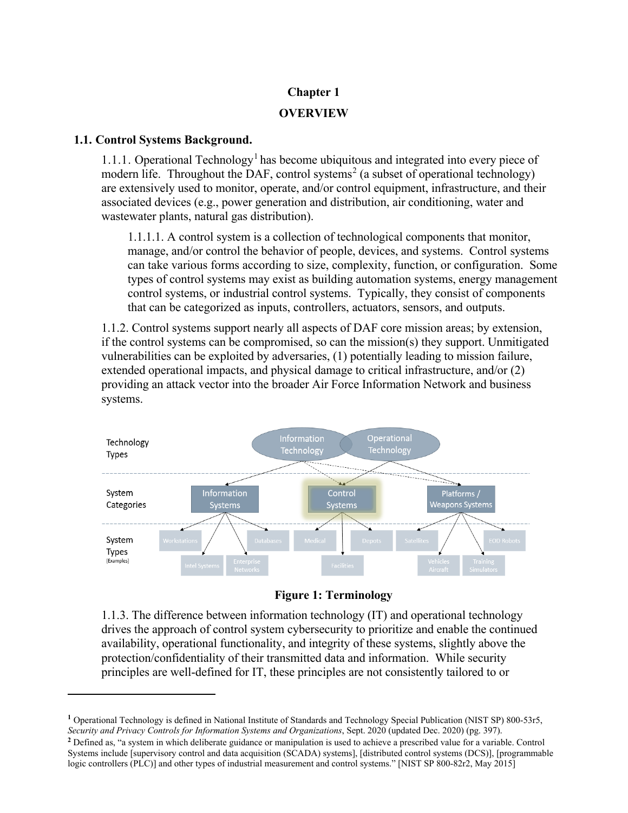# **Chapter 1 OVERVIEW**

#### <span id="page-2-0"></span>**1.1. Control Systems Background.**

 $\overline{a}$ 

[1](#page-2-1).1.1. Operational Technology<sup>1</sup> has become ubiquitous and integrated into every piece of modern life. Throughout the DAF, control systems<sup>[2](#page-2-2)</sup> (a subset of operational technology) are extensively used to monitor, operate, and/or control equipment, infrastructure, and their associated devices (e.g., power generation and distribution, air conditioning, water and wastewater plants, natural gas distribution).

1.1.1.1. A control system is a collection of technological components that monitor, manage, and/or control the behavior of people, devices, and systems. Control systems can take various forms according to size, complexity, function, or configuration. Some types of control systems may exist as building automation systems, energy management control systems, or industrial control systems. Typically, they consist of components that can be categorized as inputs, controllers, actuators, sensors, and outputs.

1.1.2. Control systems support nearly all aspects of DAF core mission areas; by extension, if the control systems can be compromised, so can the mission(s) they support. Unmitigated vulnerabilities can be exploited by adversaries, (1) potentially leading to mission failure, extended operational impacts, and physical damage to critical infrastructure, and/or (2) providing an attack vector into the broader Air Force Information Network and business systems.



# **Figure 1: Terminology**

1.1.3. The difference between information technology (IT) and operational technology drives the approach of control system cybersecurity to prioritize and enable the continued availability, operational functionality, and integrity of these systems, slightly above the protection/confidentiality of their transmitted data and information. While security principles are well-defined for IT, these principles are not consistently tailored to or

<span id="page-2-1"></span>**<sup>1</sup>** Operational Technology is defined in National Institute of Standards and Technology Special Publication (NIST SP) 800-53r5, *Security and Privacy Controls for Information Systems and Organizations*, Sept. 2020 (updated Dec. 2020) (pg. 397).

<span id="page-2-2"></span>**<sup>2</sup>** Defined as, "a system in which deliberate guidance or manipulation is used to achieve a prescribed value for a variable. Control Systems include [supervisory control and data acquisition (SCADA) systems], [distributed control systems (DCS)], [programmable logic controllers (PLC)] and other types of industrial measurement and control systems." [NIST SP 800-82r2, May 2015]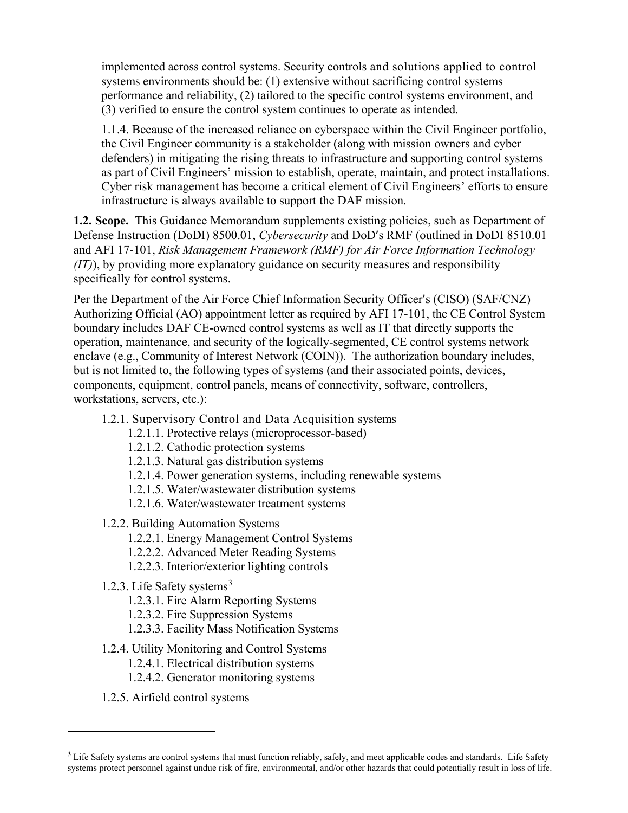implemented across control systems. Security controls and solutions applied to control systems environments should be: (1) extensive without sacrificing control systems performance and reliability, (2) tailored to the specific control systems environment, and (3) verified to ensure the control system continues to operate as intended.

1.1.4. Because of the increased reliance on cyberspace within the Civil Engineer portfolio, the Civil Engineer community is a stakeholder (along with mission owners and cyber defenders) in mitigating the rising threats to infrastructure and supporting control systems as part of Civil Engineers' mission to establish, operate, maintain, and protect installations. Cyber risk management has become a critical element of Civil Engineers' efforts to ensure infrastructure is always available to support the DAF mission.

**1.2. Scope.** This Guidance Memorandum supplements existing policies, such as [Department of](http://www.esd.whs.mil/Portals/54/Documents/DD/issuances/dodi/850001_2014.pdf)  [Defense Instruction \(DoDI\)](http://www.esd.whs.mil/Portals/54/Documents/DD/issuances/dodi/850001_2014.pdf) 8500.01, *Cybersecurity* and DoD's RMF (outlined in [DoDI 8510.01](http://www.esd.whs.mil/Portals/54/Documents/DD/issuances/dodi/851001_2014.pdf) and [AFI 17-101,](http://static.e-publishing.af.mil/production/1/saf_cio_a6/publication/afi17-101/afi17-101.pdf) *Risk Management Framework (RMF) for Air Force Information Technology (IT)*), by providing more explanatory guidance on security measures and responsibility specifically for control systems.

Per the Department of the Air Force Chief Information Security Officer's (CISO) (SAF/CNZ) Authorizing Official (AO) appointment letter as required by [AFI 17-101,](http://static.e-publishing.af.mil/production/1/saf_cio_a6/publication/afi17-101/afi17-101.pdf) the CE Control System boundary includes DAF CE-owned control systems as well as IT that directly supports the operation, maintenance, and security of the logically-segmented, CE control systems network enclave (e.g., Community of Interest Network (COIN)). The authorization boundary includes, but is not limited to, the following types of systems (and their associated points, devices, components, equipment, control panels, means of connectivity, software, controllers, workstations, servers, etc.):

- 1.2.1. Supervisory Control and Data Acquisition systems
	- 1.2.1.1. Protective relays (microprocessor-based)
	- 1.2.1.2. Cathodic protection systems
	- 1.2.1.3. Natural gas distribution systems
	- 1.2.1.4. Power generation systems, including renewable systems
	- 1.2.1.5. Water/wastewater distribution systems
	- 1.2.1.6. Water/wastewater treatment systems
- 1.2.2. Building Automation Systems
	- 1.2.2.1. Energy Management Control Systems
	- 1.2.2.2. Advanced Meter Reading Systems
	- 1.2.2.3. Interior/exterior lighting controls
- 1.2.[3](#page-3-0). Life Safety systems<sup>3</sup>
	- 1.2.3.1. Fire Alarm Reporting Systems
	- 1.2.3.2. Fire Suppression Systems
	- 1.2.3.3. Facility Mass Notification Systems
- 1.2.4. Utility Monitoring and Control Systems
	- 1.2.4.1. Electrical distribution systems
	- 1.2.4.2. Generator monitoring systems
- 1.2.5. Airfield control systems

 $\overline{a}$ 

<span id="page-3-0"></span>**<sup>3</sup>** Life Safety systems are control systems that must function reliably, safely, and meet applicable codes and standards. Life Safety systems protect personnel against undue risk of fire, environmental, and/or other hazards that could potentially result in loss of life.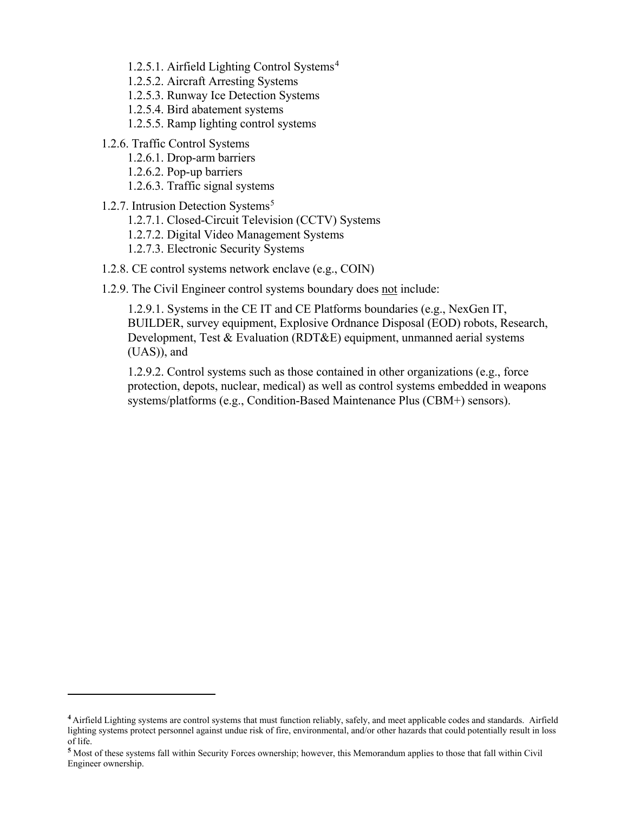1.2.5.1. Airfield Lighting Control Systems<sup>[4](#page-4-0)</sup>

1.2.5.2. Aircraft Arresting Systems

1.2.5.3. Runway Ice Detection Systems

1.2.5.4. Bird abatement systems

1.2.5.5. Ramp lighting control systems

1.2.6. Traffic Control Systems

1.2.6.1. Drop-arm barriers

1.2.6.2. Pop-up barriers

1.2.6.3. Traffic signal systems

1.2.7. Intrusion Detection Systems<sup>[5](#page-4-1)</sup>

 $\overline{a}$ 

1.2.7.1. Closed-Circuit Television (CCTV) Systems

1.2.7.2. Digital Video Management Systems

1.2.7.3. Electronic Security Systems

1.2.8. CE control systems network enclave (e.g., COIN)

1.2.9. The Civil Engineer control systems boundary does not include:

1.2.9.1. Systems in the CE IT and CE Platforms boundaries (e.g., NexGen IT, BUILDER, survey equipment, Explosive Ordnance Disposal (EOD) robots, Research, Development, Test & Evaluation (RDT&E) equipment, unmanned aerial systems (UAS)), and

1.2.9.2. Control systems such as those contained in other organizations (e.g., force protection, depots, nuclear, medical) as well as control systems embedded in weapons systems/platforms (e.g., Condition-Based Maintenance Plus (CBM+) sensors).

<span id="page-4-0"></span><sup>&</sup>lt;sup>4</sup> Airfield Lighting systems are control systems that must function reliably, safely, and meet applicable codes and standards. Airfield lighting systems protect personnel against undue risk of fire, environmental, and/or other hazards that could potentially result in loss of life.

<span id="page-4-1"></span>**<sup>5</sup>** Most of these systems fall within Security Forces ownership; however, this Memorandum applies to those that fall within Civil Engineer ownership.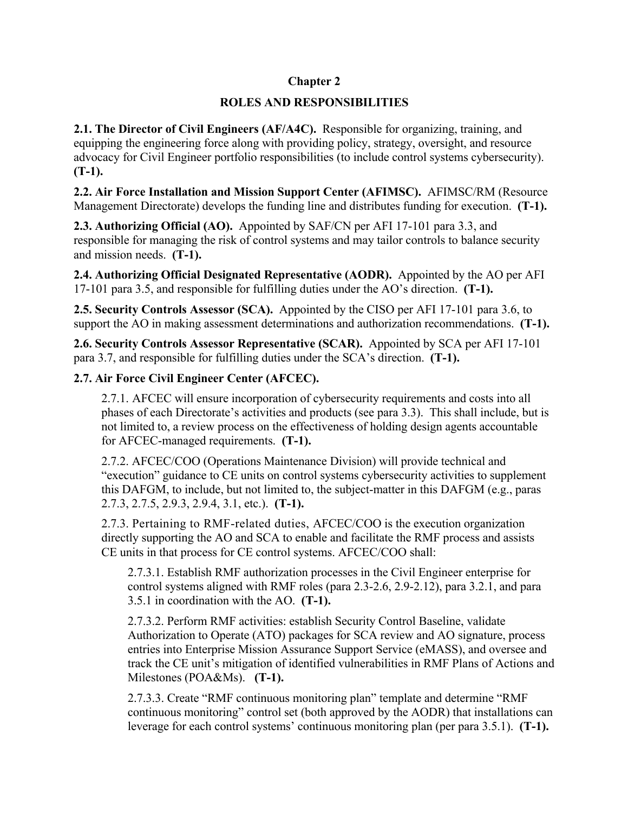# **Chapter 2**

# **ROLES AND RESPONSIBILITIES**

<span id="page-5-0"></span>**2.1. The Director of Civil Engineers (AF/A4C).** Responsible for organizing, training, and equipping the engineering force along with providing policy, strategy, oversight, and resource advocacy for Civil Engineer portfolio responsibilities (to include control systems cybersecurity). **(T-1).**

**2.2. Air Force Installation and Mission Support Center (AFIMSC).** AFIMSC/RM (Resource Management Directorate) develops the funding line and distributes funding for execution. **(T-1).**

**2.3. Authorizing Official (AO).** Appointed by SAF/CN per [AFI 17-101](http://static.e-publishing.af.mil/production/1/saf_cio_a6/publication/afi17-101/afi17-101.pdf) para 3.3, and responsible for managing the risk of control systems and may tailor controls to balance security and mission needs. **(T-1).**

**2.4. Authorizing Official Designated Representative (AODR).** Appointed by the AO per AFI 17-101 para 3.5, and responsible for fulfilling duties under the AO's direction. **(T-1).**

**2.5. Security Controls Assessor (SCA).** Appointed by the CISO per [AFI 17-101](http://static.e-publishing.af.mil/production/1/saf_cio_a6/publication/afi17-101/afi17-101.pdf) para 3.6, to support the AO in making assessment determinations and authorization recommendations. **(T-1).**

**2.6. Security Controls Assessor Representative (SCAR).** Appointed by SCA per AFI 17-101 para 3.7, and responsible for fulfilling duties under the SCA's direction. **(T-1).**

# **2.7. Air Force Civil Engineer Center (AFCEC).**

2.7.1. AFCEC will ensure incorporation of cybersecurity requirements and costs into all phases of each Directorate's activities and products (see para 3.3). This shall include, but is not limited to, a review process on the effectiveness of holding design agents accountable for AFCEC-managed requirements. **(T-1).**

2.7.2. AFCEC/COO (Operations Maintenance Division) will provide technical and "execution" guidance to CE units on control systems cybersecurity activities to supplement this DAFGM, to include, but not limited to, the subject-matter in this DAFGM (e.g., paras 2.7.3, 2.7.5, 2.9.3, 2.9.4, 3.1, etc.). **(T-1).**

2.7.3. Pertaining to RMF-related duties, AFCEC/COO is the execution organization directly supporting the AO and SCA to enable and facilitate the RMF process and assists CE units in that process for CE control systems. AFCEC/COO shall:

2.7.3.1. Establish RMF authorization processes in the Civil Engineer enterprise for control systems aligned with RMF roles (para 2.3-2.6, 2.9-2.12), para 3.2.1, and para 3.5.1 in coordination with the AO. **(T-1).**

2.7.3.2. Perform RMF activities: establish Security Control Baseline, validate Authorization to Operate (ATO) packages for SCA review and AO signature, process entries into Enterprise Mission Assurance Support Service (eMASS), and oversee and track the CE unit's mitigation of identified vulnerabilities in RMF Plans of Actions and Milestones (POA&Ms). **(T-1).**

2.7.3.3. Create "RMF continuous monitoring plan" template and determine "RMF continuous monitoring" control set (both approved by the AODR) that installations can leverage for each control systems' continuous monitoring plan (per para 3.5.1). **(T-1).**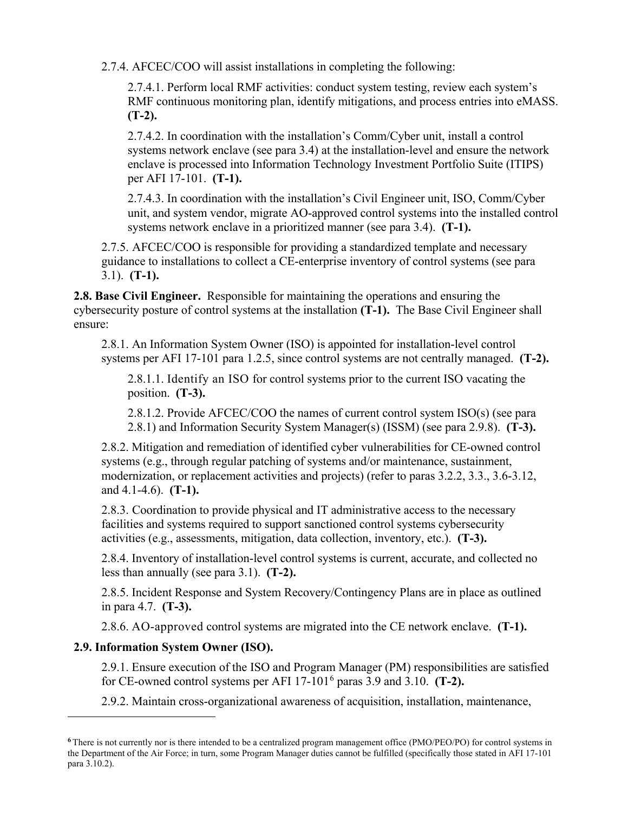2.7.4. AFCEC/COO will assist installations in completing the following:

2.7.4.1. Perform local RMF activities: conduct system testing, review each system's RMF continuous monitoring plan, identify mitigations, and process entries into eMASS. **(T-2).**

2.7.4.2. In coordination with the installation's Comm/Cyber unit, install a control systems network enclave (see para 3.4) at the installation-level and ensure the network enclave is processed into Information Technology Investment Portfolio Suite (ITIPS) per AFI 17-101. **(T-1).**

2.7.4.3. In coordination with the installation's Civil Engineer unit, ISO, Comm/Cyber unit, and system vendor, migrate AO-approved control systems into the installed control systems network enclave in a prioritized manner (see para 3.4). **(T-1).**

2.7.5. AFCEC/COO is responsible for providing a standardized template and necessary guidance to installations to collect a CE-enterprise inventory of control systems (see para 3.1). **(T-1).**

**2.8. Base Civil Engineer.** Responsible for maintaining the operations and ensuring the cybersecurity posture of control systems at the installation **(T-1).** The Base Civil Engineer shall ensure:

2.8.1. An Information System Owner (ISO) is appointed for installation-level control systems per [AFI 17-101 para 1.2.5,](http://static.e-publishing.af.mil/production/1/saf_cio_a6/publication/afi17-101/afi17-101.pdf) since control systems are not centrally managed. **(T-2).**

2.8.1.1. Identify an ISO for control systems prior to the current ISO vacating the position. **(T-3).**

2.8.1.2. Provide AFCEC/COO the names of current control system ISO(s) (see para 2.8.1) and Information Security System Manager(s) (ISSM) (see para 2.9.8). **(T-3).**

2.8.2. Mitigation and remediation of identified cyber vulnerabilities for CE-owned control systems (e.g., through regular patching of systems and/or maintenance, sustainment, modernization, or replacement activities and projects) (refer to paras 3.2.2, 3.3., 3.6-3.12, and 4.1-4.6). **(T-1).**

2.8.3. Coordination to provide physical and IT administrative access to the necessary facilities and systems required to support sanctioned control systems cybersecurity activities (e.g., assessments, mitigation, data collection, inventory, etc.). **(T-3).**

2.8.4. Inventory of installation-level control systems is current, accurate, and collected no less than annually (see para 3.1). **(T-2).**

2.8.5. Incident Response and System Recovery/Contingency Plans are in place as outlined in para 4.7. **(T-3).**

2.8.6. AO-approved control systems are migrated into the CE network enclave. **(T-1).**

# **2.9. Information System Owner (ISO).**

 $\overline{\phantom{a}}$ 

2.9.1. Ensure execution of the ISO and Program Manager (PM) responsibilities are satisfied for CE-owned control systems per [AFI 17-101](http://static.e-publishing.af.mil/production/1/saf_cio_a6/publication/afi17-101/afi17-101.pdf)[6](#page-6-0) paras 3.9 and 3.10. **(T-2).**

2.9.2. Maintain cross-organizational awareness of acquisition, installation, maintenance,

<span id="page-6-0"></span>**<sup>6</sup>** There is not currently nor is there intended to be a centralized program management office (PMO/PEO/PO) for control systems in the Department of the Air Force; in turn, some Program Manager duties cannot be fulfilled (specifically those stated in AFI 17-101 para 3.10.2).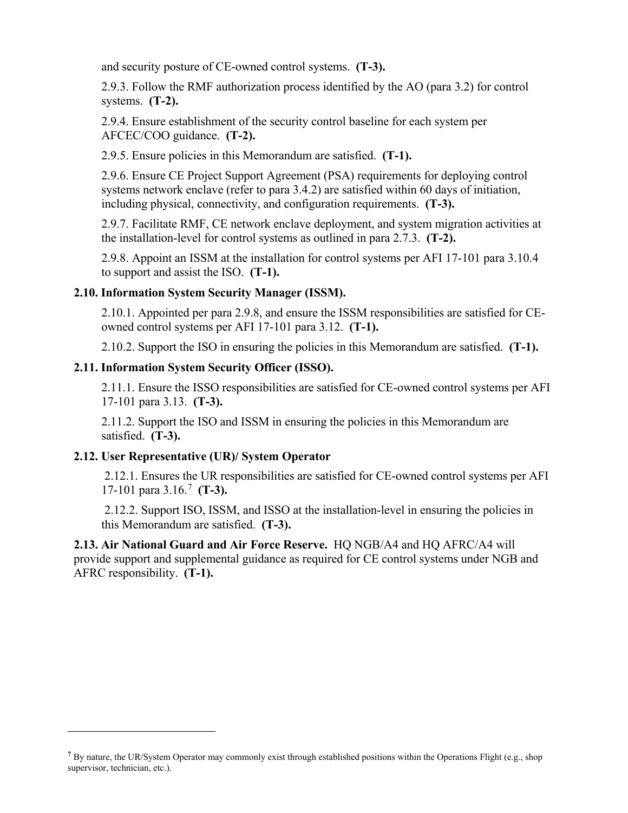and security posture of CE-owned control systems. **(T-3).**

2.9.3. Follow the RMF authorization process identified by the AO (para 3.2) for control systems. **(T-2).**

2.9.4. Ensure establishment of the security control baseline for each system per AFCEC/COO guidance. **(T-2).**

2.9.5. Ensure policies in this Memorandum are satisfied. **(T-1).**

2.9.6. Ensure CE Project Support Agreement (PSA) requirements for deploying control systems network enclave (refer to para 3.4.2) are satisfied within 60 days of initiation, including physical, connectivity, and configuration requirements. **(T-3).**

2.9.7. Facilitate RMF, CE network enclave deployment, and system migration activities at the installation-level for control systems as outlined in para 2.7.3. **(T-2).**

2.9.8. Appoint an ISSM at the installation for control systems per [AFI 17-101 para 3.10.4](http://static.e-publishing.af.mil/production/1/saf_cio_a6/publication/afi17-101/afi17-101.pdf) to support and assist the ISO. **(T-1).**

# **2.10. Information System Security Manager (ISSM).**

2.10.1. Appointed per para 2.9.8, and ensure the ISSM responsibilities are satisfied for CEowned control systems per [AFI 17-101](http://static.e-publishing.af.mil/production/1/saf_cio_a6/publication/afi17-101/afi17-101.pdf) para 3.12. **(T-1).**

2.10.2. Support the ISO in ensuring the policies in this Memorandum are satisfied. **(T-1).**

# **2.11. Information System Security Officer (ISSO).**

2.11.1. Ensure the ISSO responsibilities are satisfied for CE-owned control systems per [AFI](http://static.e-publishing.af.mil/production/1/saf_cio_a6/publication/afi17-101/afi17-101.pdf)  [17-101](http://static.e-publishing.af.mil/production/1/saf_cio_a6/publication/afi17-101/afi17-101.pdf) para 3.13. **(T-3).**

2.11.2. Support the ISO and ISSM in ensuring the policies in this Memorandum are satisfied. **(T-3).**

# **2.12. User Representative (UR)/ System Operator**

 $\overline{a}$ 

2.12.1. Ensures the UR responsibilities are satisfied for CE-owned control systems per [AFI](http://static.e-publishing.af.mil/production/1/saf_cio_a6/publication/afi17-101/afi17-101.pdf)  [17-101](http://static.e-publishing.af.mil/production/1/saf_cio_a6/publication/afi17-101/afi17-101.pdf) para 3.16.[7](#page-7-0) **(T-3).**

2.12.2. Support ISO, ISSM, and ISSO at the installation-level in ensuring the policies in this Memorandum are satisfied. **(T-3).**

**2.13. Air National Guard and Air Force Reserve.** HQ NGB/A4 and HQ AFRC/A4 will provide support and supplemental guidance as required for CE control systems under NGB and AFRC responsibility. **(T-1).**

<span id="page-7-0"></span>**<sup>7</sup>** By nature, the UR/System Operator may commonly exist through established positions within the Operations Flight (e.g., shop supervisor, technician, etc.).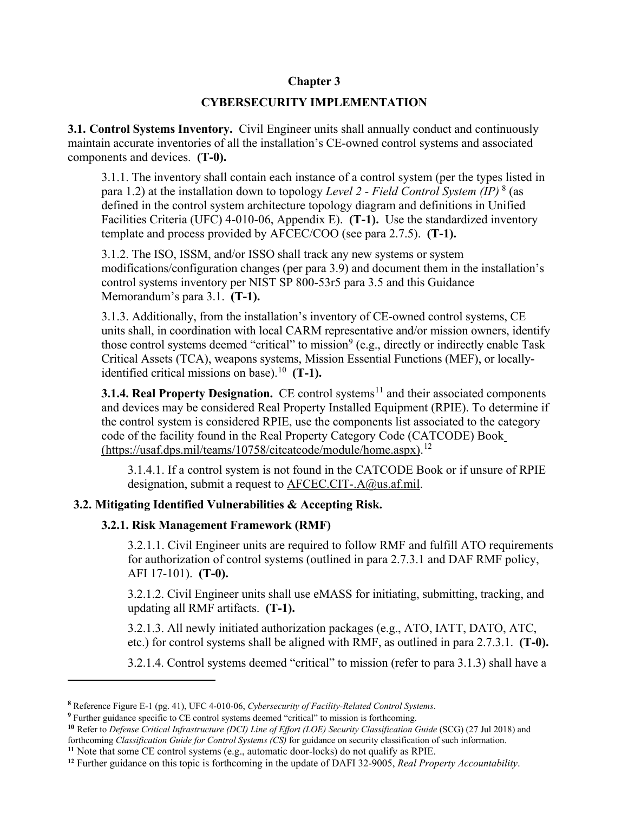### **Chapter 3**

### **CYBERSECURITY IMPLEMENTATION**

**3.1. Control Systems Inventory.** Civil Engineer units shall annually conduct and continuously maintain accurate inventories of all the installation's CE-owned control systems and associated components and devices. **(T-0).**

3.1.1. The inventory shall contain each instance of a control system (per the types listed in para 1.2) at the installation down to topology *Level 2 - Field Control System (IP)* [8](#page-8-0) (as defined in the control system architecture topology diagram and definitions in [Unified](https://www.wbdg.org/ffc/dod/unified-facilities-criteria-ufc/ufc-4-010-06)  Facilities Criteria (UFC) [4-010-06, Appendix E\)](https://www.wbdg.org/ffc/dod/unified-facilities-criteria-ufc/ufc-4-010-06). **(T-1).** Use the standardized inventory template and process provided by AFCEC/COO (see para 2.7.5). **(T-1).**

3.1.2. The ISO, ISSM, and/or ISSO shall track any new systems or system modifications/configuration changes (per para 3.9) and document them in the installation's control systems inventory per NIST [SP 800-53r5](https://csrc.nist.gov/csrc/media/publications/sp/800-53/rev-5/draft/documents/sp800-53r5-draft.pdf) para 3.5 and this Guidance Memorandum's para 3.1. **(T-1).**

3.1.3. Additionally, from the installation's inventory of CE-owned control systems, CE units shall, in coordination with local CARM representative and/or mission owners, identify those control systems deemed "critical" to mission  $(e.g.,$  directly or indirectly enable Task Critical Assets (TCA), weapons systems, Mission Essential Functions (MEF), or locally-identified critical missions on base).<sup>[10](#page-8-2)</sup> (T-1).

**3.1.4. Real Property Designation.** CE control systems<sup>[11](#page-8-3)</sup> and their associated components and devices may be considered Real Property Installed Equipment (RPIE). To determine if the control system is considered RPIE, use the components list associated to the category code of the facility found in the Real Property Category Code (CATCODE) Book (https://usaf.dps.mil/teams/10758/citcatcode/module/home.aspx). [12](#page-8-4)

3.1.4.1. If a control system is not found in the CATCODE Book or if unsure of RPIE designation, submit a request to [AFCEC.CIT-.A@us.af.mil.](mailto:AFCEC.CIT-.A@us.af.mil)

# **3.2. Mitigating Identified Vulnerabilities & Accepting Risk.**

#### **3.2.1. Risk Management Framework (RMF)**

l

3.2.1.1. Civil Engineer units are required to follow RMF and fulfill ATO requirements for authorization of control systems (outlined in para 2.7.3.1 and DAF RMF policy, [AFI 17-101\)](http://static.e-publishing.af.mil/production/1/saf_cio_a6/publication/afi17-101/afi17-101.pdf). **(T-0).**

3.2.1.2. Civil Engineer units shall use eMASS for initiating, submitting, tracking, and updating all RMF artifacts. **(T-1).**

3.2.1.3. All newly initiated authorization packages (e.g., ATO, IATT, DATO, ATC, etc.) for control systems shall be aligned with RMF, as outlined in para 2.7.3.1. **(T-0).**

3.2.1.4. Control systems deemed "critical" to mission (refer to para 3.1.3) shall have a

<span id="page-8-0"></span>**<sup>8</sup>** Reference Figure E-1 (pg. 41), UFC 4-010-06, *Cybersecurity of Facility-Related Control Systems*.

<span id="page-8-1"></span>**<sup>9</sup>** Further guidance specific to CE control systems deemed "critical" to mission is forthcoming.

<span id="page-8-2"></span>**<sup>10</sup>** Refer to *Defense Critical Infrastructure (DCI) Line of Effort (LOE) Security Classification Guide* (SCG) (27 Jul 2018) and forthcoming *Classification Guide for Control Systems (CS)* for guidance on security classification of such information.

<span id="page-8-3"></span>**<sup>11</sup>** Note that some CE control systems (e.g., automatic door-locks) do not qualify as RPIE.

<span id="page-8-4"></span>**<sup>12</sup>** Further guidance on this topic is forthcoming in the update of DAFI 32-9005, *Real Property Accountability*.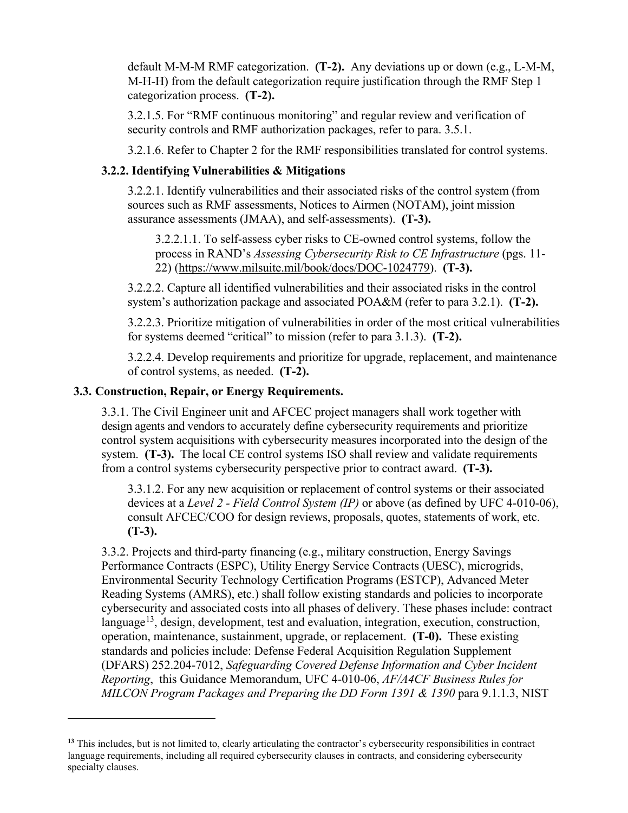default M-M-M RMF categorization. **(T-2).** Any deviations up or down (e.g., L-M-M, M-H-H) from the default categorization require justification through the RMF Step 1 categorization process. **(T-2).** 

3.2.1.5. For "RMF continuous monitoring" and regular review and verification of security controls and RMF authorization packages, refer to para. 3.5.1.

3.2.1.6. Refer to [Chapter 2](#page-5-0) for the RMF responsibilities translated for control systems.

### **3.2.2. Identifying Vulnerabilities & Mitigations**

3.2.2.1. Identify vulnerabilities and their associated risks of the control system (from sources such as RMF assessments, Notices to Airmen (NOTAM), joint mission assurance assessments (JMAA), and self-assessments). **(T-3).** 

3.2.2.1.1. To self-assess cyber risks to CE-owned control systems, follow the process in RAND's *Assessing Cybersecurity Risk to CE Infrastructure* (pgs. 11- 22) (https://www.milsuite.mil/book/docs/DOC-1024779). **(T-3).**

3.2.2.2. Capture all identified vulnerabilities and their associated risks in the control system's authorization package and associated POA&M (refer to para 3.2.1). **(T-2).** 

3.2.2.3. Prioritize mitigation of vulnerabilities in order of the most critical vulnerabilities for systems deemed "critical" to mission (refer to para 3.1.3). **(T-2).** 

3.2.2.4. Develop requirements and prioritize for upgrade, replacement, and maintenance of control systems, as needed. **(T-2).**

### **3.3. Construction, Repair, or Energy Requirements.**

l

3.3.1. The Civil Engineer unit and AFCEC project managers shall work together with design agents and vendors to accurately define cybersecurity requirements and prioritize control system acquisitions with cybersecurity measures incorporated into the design of the system. **(T-3).** The local CE control systems ISO shall review and validate requirements from a control systems cybersecurity perspective prior to contract award. **(T-3).**

3.3.1.2. For any new acquisition or replacement of control systems or their associated devices at a *Level 2 - Field Control System (IP)* or above (as defined by [UFC 4-010-06\)](https://www.wbdg.org/ffc/dod/unified-facilities-criteria-ufc/ufc-4-010-06), consult AFCEC/COO for design reviews, proposals, quotes, statements of work, etc. **(T-3).**

3.3.2. Projects and third-party financing (e.g., military construction, Energy Savings Performance Contracts (ESPC), Utility Energy Service Contracts (UESC), microgrids, Environmental Security Technology Certification Programs (ESTCP), Advanced Meter Reading Systems (AMRS), etc.) shall follow existing standards and policies to incorporate cybersecurity and associated costs into all phases of delivery. These phases include: contract language<sup>[13](#page-9-0)</sup>, design, development, test and evaluation, integration, execution, construction, operation, maintenance, sustainment, upgrade, or replacement. **(T-0).** These existing standards and policies include: [Defense Federal Acquisition Regulation Supplement](https://www.acq.osd.mil/dpap/dars/dfars/html/current/252204.htm)  (DFARS) 252.204-7012, *[Safeguarding Covered Defense Information and Cyber Incident](https://www.acq.osd.mil/dpap/dars/dfars/html/current/252204.htm)  [Reporting](https://www.acq.osd.mil/dpap/dars/dfars/html/current/252204.htm)*, this Guidance Memorandum, [UFC 4-010-06,](https://www.wbdg.org/ffc/dod/unified-facilities-criteria-ufc/ufc-4-010-06) *AF/A4CF Business Rules for MILCON Program Packages and Preparing the DD Form 1391 & 1390* para 9.1.1.3, NIST

<span id="page-9-0"></span>**<sup>13</sup>** This includes, but is not limited to, clearly articulating the contractor's cybersecurity responsibilities in contract language requirements, including all required cybersecurity clauses in contracts, and considering cybersecurity specialty clauses.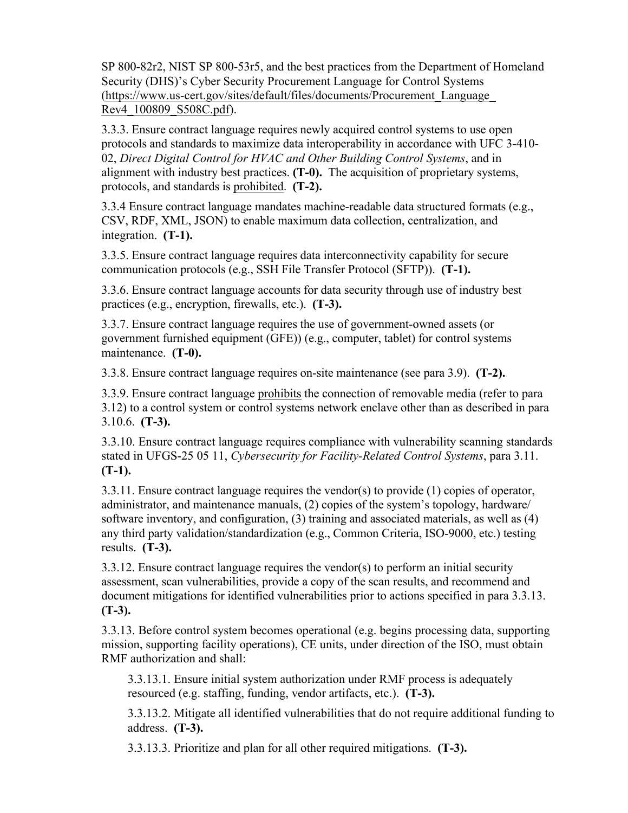SP 800-82r2, NIST SP 800-53r5, and the best practices from the Department of Homeland Security (DHS)'s Cyber Security Procurement Language for Control Systems (https://www.us-cert.gov/sites/default/files/documents/Procurement\_Language\_ Rev4 100809 S508C.pdf).

3.3.3. Ensure contract language requires newly acquired control systems to use open protocols and standards to maximize data interoperability in accordance with UFC 3-410- 02, *Direct Digital Control for HVAC and Other Building Control Systems*, and in alignment with industry best practices. **(T-0).** The acquisition of proprietary systems, protocols, and standards is prohibited. **(T-2).** 

3.3.4 Ensure contract language mandates machine-readable data structured formats (e.g., CSV, RDF, XML, JSON) to enable maximum data collection, centralization, and integration. **(T-1).** 

3.3.5. Ensure contract language requires data interconnectivity capability for secure communication protocols (e.g., SSH File Transfer Protocol (SFTP)). **(T-1).** 

3.3.6. Ensure contract language accounts for data security through use of industry best practices (e.g., encryption, firewalls, etc.). **(T-3).** 

3.3.7. Ensure contract language requires the use of government-owned assets (or government furnished equipment (GFE)) (e.g., computer, tablet) for control systems maintenance. **(T-0).**

3.3.8. Ensure contract language requires on-site maintenance (see para 3.9). **(T-2).**

3.3.9. Ensure contract language prohibits the connection of removable media (refer to para 3.12) to a control system or control systems network enclave other than as described in para 3.10.6. **(T-3).**

3.3.10. Ensure contract language requires compliance with vulnerability scanning standards stated in UFGS-25 05 11, *Cybersecurity for Facility-Related Control Systems*, para 3.11. **(T-1).**

3.3.11. Ensure contract language requires the vendor(s) to provide (1) copies of operator, administrator, and maintenance manuals, (2) copies of the system's topology, hardware/ software inventory, and configuration, (3) training and associated materials, as well as (4) any third party validation/standardization (e.g., Common Criteria, ISO-9000, etc.) testing results. **(T-3).**

3.3.12. Ensure contract language requires the vendor(s) to perform an initial security assessment, scan vulnerabilities, provide a copy of the scan results, and recommend and document mitigations for identified vulnerabilities prior to actions specified in para 3.3.13. **(T-3).**

3.3.13. Before control system becomes operational (e.g. begins processing data, supporting mission, supporting facility operations), CE units, under direction of the ISO, must obtain RMF authorization and shall:

3.3.13.1. Ensure initial system authorization under RMF process is adequately resourced (e.g. staffing, funding, vendor artifacts, etc.). **(T-3).**

3.3.13.2. Mitigate all identified vulnerabilities that do not require additional funding to address. **(T-3).**

3.3.13.3. Prioritize and plan for all other required mitigations. **(T-3).**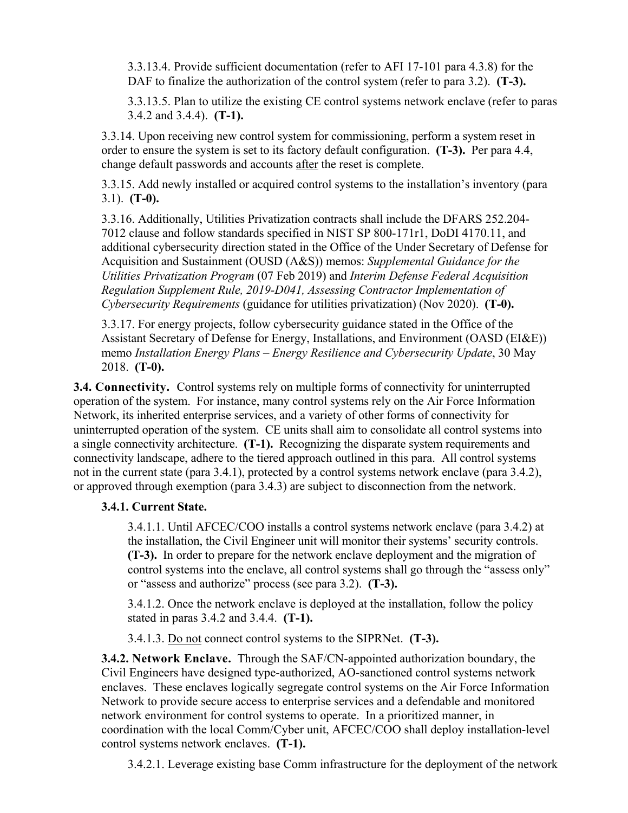3.3.13.4. Provide sufficient documentation (refer to AFI 17-101 para 4.3.8) for the DAF to finalize the authorization of the control system (refer to para 3.2). **(T-3).**

3.3.13.5. Plan to utilize the existing CE control systems network enclave (refer to paras 3.4.2 and 3.4.4). **(T-1).**

3.3.14. Upon receiving new control system for commissioning, perform a system reset in order to ensure the system is set to its factory default configuration. **(T-3).** Per para 4.4, change default passwords and accounts after the reset is complete.

3.3.15. Add newly installed or acquired control systems to the installation's inventory (para 3.1). **(T-0).**

3.3.16. Additionally, Utilities Privatization contracts shall include the [DFARS 252.204-](https://www.acq.osd.mil/dpap/dars/dfars/html/current/252204.htm) [7012](https://www.acq.osd.mil/dpap/dars/dfars/html/current/252204.htm) clause and follow standards specified in [NIST SP 800-171r1,](https://nvlpubs.nist.gov/nistpubs/SpecialPublications/NIST.SP.800-171r1.pdf) [DoDI 4170.11, a](https://www.acq.osd.mil/dodsc/library/dodi-4170-11-installation.pdf)nd additional cybersecurity direction stated in the Office of the Under Secretary of Defense for Acquisition and Sustainment (OUSD (A&S)) memos: *Supplemental Guidance for the Utilities Privatization Program* (07 Feb 2019) and *Interim Defense Federal Acquisition Regulation Supplement Rule, 2019-D041, Assessing Contractor Implementation of Cybersecurity Requirements* (guidance for utilities privatization) (Nov 2020). **(T-0).**

3.3.17. For energy projects, follow cybersecurity guidance stated in the Office of the Assistant Secretary of Defense for Energy, Installations, and Environment (OASD (EI&E)) memo *Installation Energy Plans – Energy Resilience and Cybersecurity Update*, 30 May 2018. **(T-0).**

**3.4. Connectivity.** Control systems rely on multiple forms of connectivity for uninterrupted operation of the system. For instance, many control systems rely on the Air Force Information Network, its inherited enterprise services, and a variety of other forms of connectivity for uninterrupted operation of the system. CE units shall aim to consolidate all control systems into a single connectivity architecture. **(T-1).** Recognizing the disparate system requirements and connectivity landscape, adhere to the tiered approach outlined in this para. All control systems not in the current state (para 3.4.1), protected by a control systems network enclave (para 3.4.2), or approved through exemption (para 3.4.3) are subject to disconnection from the network.

# **3.4.1. Current State.**

3.4.1.1. Until AFCEC/COO installs a control systems network enclave (para 3.4.2) at the installation, the Civil Engineer unit will monitor their systems' security controls. **(T-3).** In order to prepare for the network enclave deployment and the migration of control systems into the enclave, all control systems shall go through the "assess only" or "assess and authorize" process (see para 3.2). **(T-3).**

3.4.1.2. Once the network enclave is deployed at the installation, follow the policy stated in paras 3.4.2 and 3.4.4. **(T-1).**

3.4.1.3. Do not connect control systems to the SIPRNet. **(T-3).**

**3.4.2. Network Enclave.** Through the SAF/CN-appointed authorization boundary, the Civil Engineers have designed type-authorized, AO-sanctioned control systems network enclaves. These enclaves logically segregate control systems on the Air Force Information Network to provide secure access to enterprise services and a defendable and monitored network environment for control systems to operate. In a prioritized manner, in coordination with the local Comm/Cyber unit, AFCEC/COO shall deploy installation-level control systems network enclaves. **(T-1).**

3.4.2.1. Leverage existing base Comm infrastructure for the deployment of the network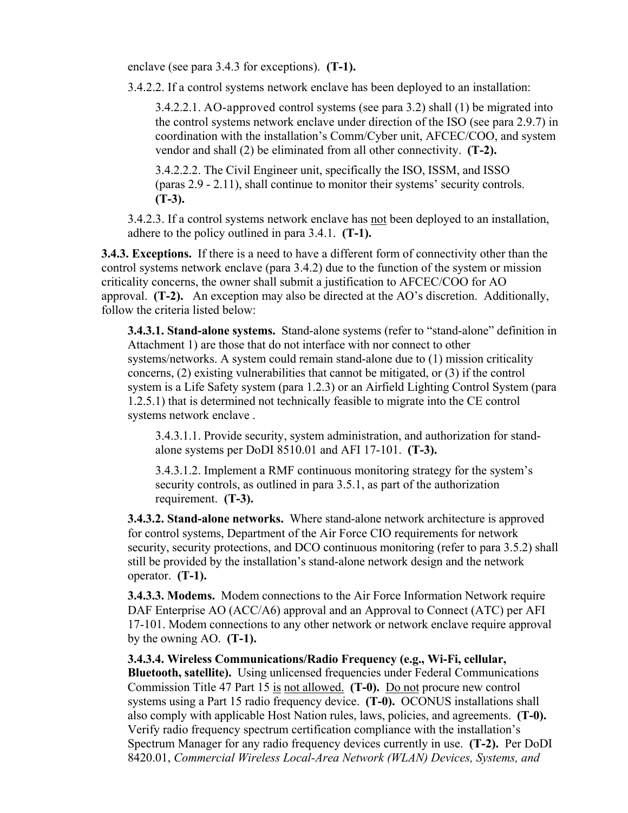enclave (see para 3.4.3 for exceptions). **(T-1).**

3.4.2.2. If a control systems network enclave has been deployed to an installation:

3.4.2.2.1. AO-approved control systems (see para 3.2) shall (1) be migrated into the control systems network enclave under direction of the ISO (see para 2.9.7) in coordination with the installation's Comm/Cyber unit, AFCEC/COO, and system vendor and shall (2) be eliminated from all other connectivity. **(T-2).** 

3.4.2.2.2. The Civil Engineer unit, specifically the ISO, ISSM, and ISSO (paras 2.9 - 2.11), shall continue to monitor their systems' security controls. **(T-3).**

3.4.2.3. If a control systems network enclave has not been deployed to an installation, adhere to the policy outlined in para 3.4.1. **(T-1).**

**3.4.3. Exceptions.** If there is a need to have a different form of connectivity other than the control systems network enclave (para 3.4.2) due to the function of the system or mission criticality concerns, the owner shall submit a justification to AFCEC/COO for AO approval. **(T-2).** An exception may also be directed at the AO's discretion. Additionally, follow the criteria listed below:

**3.4.3.1. Stand-alone systems.** Stand-alone systems (refer to "stand-alone" definition in Attachment 1) are those that do not interface with nor connect to other systems/networks. A system could remain stand-alone due to (1) mission criticality concerns, (2) existing vulnerabilities that cannot be mitigated, or (3) if the control system is a Life Safety system (para 1.2.3) or an Airfield Lighting Control System (para 1.2.5.1) that is determined not technically feasible to migrate into the CE control systems network enclave .

3.4.3.1.1. Provide security, system administration, and authorization for standalone systems per DoDI 8510.01 and AFI 17-101. **(T-3).**

3.4.3.1.2. Implement a RMF continuous monitoring strategy for the system's security controls, as outlined in para 3.5.1, as part of the authorization requirement. **(T-3).**

**3.4.3.2. Stand-alone networks.** Where stand-alone network architecture is approved for control systems, Department of the Air Force CIO requirements for network security, security protections, and DCO continuous monitoring (refer to para 3.5.2) shall still be provided by the installation's stand-alone network design and the network operator. **(T-1).**

**3.4.3.3. Modems.** Modem connections to the Air Force Information Network require DAF Enterprise AO (ACC/A6) approval and an Approval to Connect (ATC) per [AFI](http://static.e-publishing.af.mil/production/1/saf_cio_a6/publication/afi17-101/afi17-101.pdf) [17-101.](http://static.e-publishing.af.mil/production/1/saf_cio_a6/publication/afi17-101/afi17-101.pdf) Modem connections to any other network or network enclave require approval by the owning AO. **(T-1).**

**3.4.3.4. Wireless Communications/Radio Frequency (e.g., Wi-Fi, cellular, Bluetooth, satellite).** Using unlicensed frequencies under [Federal Communications](https://www.ecfr.gov/cgi-bin/text-idx?SID=1b3056c426adb49468b037e29ac87950&mc=true&node=pt47.1.15&rgn=div5)  [Commission Title 47 Part 15](https://www.ecfr.gov/cgi-bin/text-idx?SID=1b3056c426adb49468b037e29ac87950&mc=true&node=pt47.1.15&rgn=div5) is not allowed. **(T-0).** Do not procure new control systems using a Part 15 radio frequency device. **(T-0).** OCONUS installations shall also comply with applicable Host Nation rules, laws, policies, and agreements. **(T-0).** Verify radio frequency spectrum certification compliance with the installation's Spectrum Manager for any radio frequency devices currently in use. **(T-2).** Per [DoDI](http://www.esd.whs.mil/Portals/54/Documents/DD/issuances/dodi/842001_dodi_2017.pdf?ver=2017-11-03-092912-313)  8420.01, *[Commercial Wireless Local-Area Network \(WLAN\) Devices, Systems, and](http://www.esd.whs.mil/Portals/54/Documents/DD/issuances/dodi/842001_dodi_2017.pdf?ver=2017-11-03-092912-313)*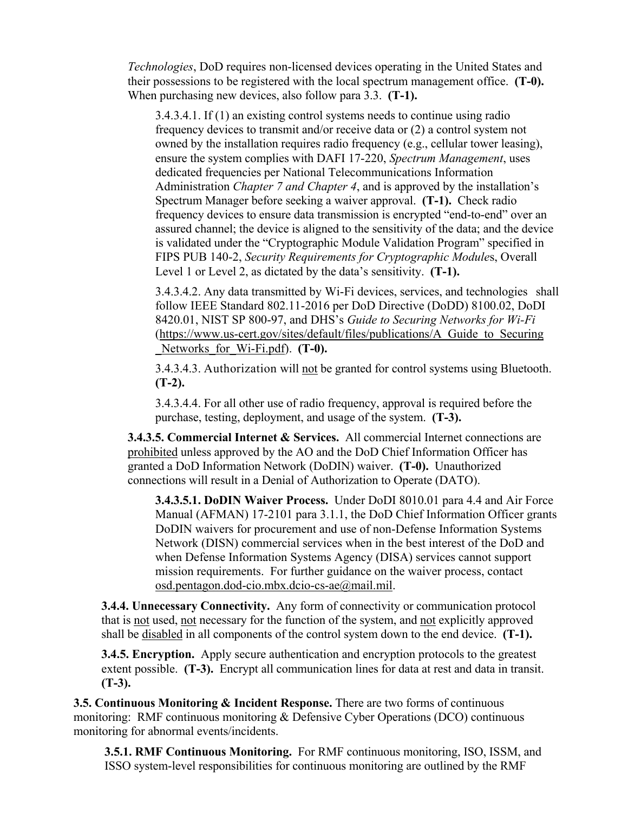*[Technologies](http://www.esd.whs.mil/Portals/54/Documents/DD/issuances/dodi/842001_dodi_2017.pdf?ver=2017-11-03-092912-313)*, DoD requires non-licensed devices operating in the United States and their possessions to be registered with the local spectrum management office. **(T-0).** When purchasing new devices, also follow para 3.3. **(T-1).**

3.4.3.4.1. If (1) an existing control systems needs to continue using radio frequency devices to transmit and/or receive data or (2) a control system not owned by the installation requires radio frequency (e.g., cellular tower leasing), ensure the system complies with DAFI 17-220, *[Spectrum Management](http://static.e-publishing.af.mil/production/1/saf_cio_a6/publication/afi17-220/afi17-220.pdf)*, uses dedicated frequencies per [National Telecommunications Information](https://www.ntia.doc.gov/page/2011/manual-regulations-and-procedures-federal-radio-frequency-management-redbook)  Administration *[Chapter 7 and Chapter 4](https://www.ntia.doc.gov/page/2011/manual-regulations-and-procedures-federal-radio-frequency-management-redbook)*, and is approved by the installation's Spectrum Manager before seeking a waiver approval. **(T-1).** Check radio frequency devices to ensure data transmission is encrypted "end-to-end" over an assured channel; the device is aligned to the sensitivity of the data; and the device is validated under the "Cryptographic Module Validation Program" specified in FIPS PUB 140-2, *[Security Requirements for Cryptographic Module](http://nvlpubs.nist.gov/nistpubs/FIPS/NIST.FIPS.140-2.pdf)*s, Overall Level 1 or Level 2, as dictated by the data's sensitivity. **(T-1).**

3.4.3.4.2. Any data transmitted by Wi-Fi devices, services, and technologies shall follow [IEEE Standard 802.11-2016](https://standards.ieee.org/findstds/standard/802.11-2016.html) per DoD [Directive \(DoDD\)](http://www.esd.whs.mil/Portals/54/Documents/DD/issuances/dodd/810002p.pdf) 8100.02, [DoDI](http://www.esd.whs.mil/Portals/54/Documents/DD/issuances/dodi/842001_dodi_2017.pdf?ver=2017-11-03-092912-313)  [8420.01,](http://www.esd.whs.mil/Portals/54/Documents/DD/issuances/dodi/842001_dodi_2017.pdf?ver=2017-11-03-092912-313) [NIST SP 800-97,](http://nvlpubs.nist.gov/nistpubs/Legacy/SP/nistspecialpublication800-97.pdf) and DHS's *[Guide to Securing Networks for Wi-Fi](https://www.us-cert.gov/sites/default/files/publications/A_Guide_to_Securing_Networks_for_Wi-Fi.pdf)* [\(https://www.us-cert.gov/sites/default/files/publications/A\\_Guide\\_to\\_Securing](https://www.us-cert.gov/sites/default/files/publications/A_Guide_to_Securing) Networks for Wi-Fi.pdf). **(T-0).** 

3.4.3.4.3. Authorization will not be granted for control systems using Bluetooth. **(T-2).**

3.4.3.4.4. For all other use of radio frequency, approval is required before the purchase, testing, deployment, and usage of the system. **(T-3).**

**3.4.3.5. Commercial Internet & Services.** All commercial Internet connections are prohibited unless approved by the AO and the DoD Chief Information Officer has granted a DoD Information Network (DoDIN) waiver. **(T-0).** Unauthorized connections will result in a Denial of Authorization to Operate (DATO).

**3.4.3.5.1. DoDIN Waiver Process.** Under [DoDI 8010.01](http://www.esd.whs.mil/Portals/54/Documents/DD/issuances/dodi/851001_2014.pdf) para 4.4 and Air Force Manual (AFMAN) 17-2101 para 3.1.1, the DoD Chief Information Officer grants DoDIN waivers for procurement and use of non-Defense Information Systems Network (DISN) commercial services when in the best interest of the DoD and when Defense Information Systems Agency (DISA) services cannot support mission requirements. For further guidance on the waiver process, contact osd.pentagon.dod-cio.mbx.dcio-cs-ae@mail.mil.

**3.4.4. Unnecessary Connectivity.** Any form of connectivity or communication protocol that is not used, not necessary for the function of the system, and not explicitly approved shall be disabled in all components of the control system down to the end device. **(T-1).**

**3.4.5. Encryption.** Apply secure authentication and encryption protocols to the greatest extent possible. **(T-3).** Encrypt all communication lines for data at rest and data in transit. **(T-3).** 

**3.5. Continuous Monitoring & Incident Response.** There are two forms of continuous monitoring: RMF continuous monitoring & Defensive Cyber Operations (DCO) continuous monitoring for abnormal events/incidents.

**3.5.1. RMF Continuous Monitoring.** For RMF continuous monitoring, ISO, ISSM, and ISSO system-level responsibilities for continuous monitoring are outlined by the RMF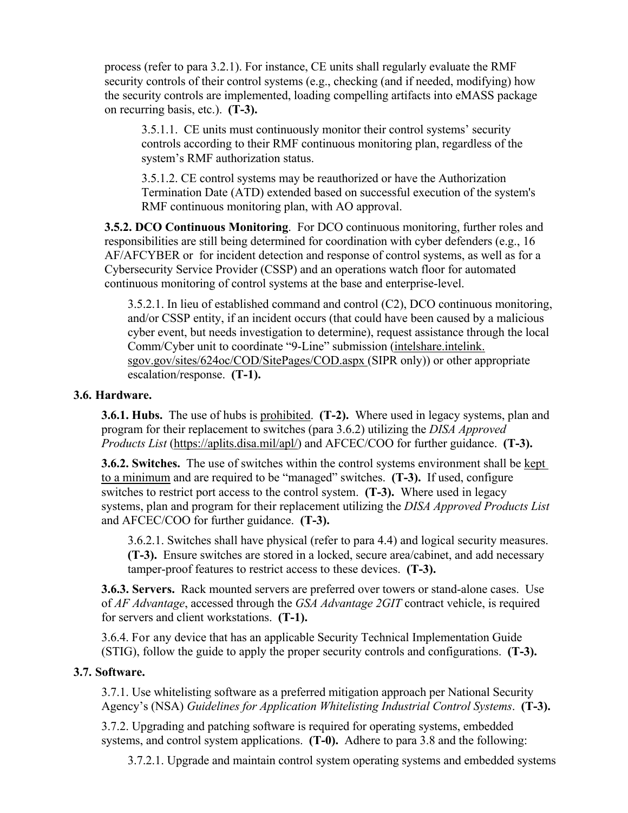process (refer to para 3.2.1). For instance, CE units shall regularly evaluate the RMF security controls of their control systems (e.g., checking (and if needed, modifying) how the security controls are implemented, loading compelling artifacts into eMASS package on recurring basis, etc.). **(T-3).**

3.5.1.1. CE units must continuously monitor their control systems' security controls according to their RMF continuous monitoring plan, regardless of the system's RMF authorization status.

3.5.1.2. CE control systems may be reauthorized or have the Authorization Termination Date (ATD) extended based on successful execution of the system's RMF continuous monitoring plan, with AO approval.

**3.5.2. DCO Continuous Monitoring**. For DCO continuous monitoring, further roles and responsibilities are still being determined for coordination with cyber defenders (e.g., 16 AF/AFCYBER or for incident detection and response of control systems, as well as for a Cybersecurity Service Provider (CSSP) and an operations watch floor for automated continuous monitoring of control systems at the base and enterprise-level.

3.5.2.1. In lieu of established command and control (C2), DCO continuous monitoring, and/or CSSP entity, if an incident occurs (that could have been caused by a malicious cyber event, but needs investigation to determine), request assistance through the local Comm/Cyber unit to coordinate "9-Line" submission (intelshare.intelink. sgov.gov/sites/624oc/COD/SitePages/COD.aspx (SIPR only)) or other appropriate escalation/response. **(T-1).**

#### **3.6. Hardware.**

**3.6.1. Hubs.** The use of hubs is prohibited. **(T-2).** Where used in legacy systems, plan and program for their replacement to switches (para 3.6.2) utilizing the *[DISA Approved](https://aplits.disa.mil/apl/)  [Products List](https://aplits.disa.mil/apl/)* (https://aplits.disa.mil/apl/) and AFCEC/COO for further guidance. **(T-3).**

**3.6.2. Switches.** The use of switches within the control systems environment shall be kept to a minimum and are required to be "managed" switches. **(T-3).** If used, configure switches to restrict port access to the control system. **(T-3).** Where used in legacy systems, plan and program for their replacement utilizing the *[DISA Approved Products List](https://aplits.disa.mil/apl/)* and AFCEC/COO for further guidance. **(T-3).**

3.6.2.1. Switches shall have physical (refer to para 4.4) and logical security measures. **(T-3).** Ensure switches are stored in a locked, secure area/cabinet, and add necessary tamper-proof features to restrict access to these devices. **(T-3).**

**3.6.3. Servers.** Rack mounted servers are preferred over towers or stand-alone cases. Use of *AF Advantage*, accessed through the *GSA Advantage 2GIT* contract vehicle, is required for servers and client workstations. **(T-1).**

3.6.4. For any device that has an applicable Security Technical Implementation Guide (STIG), follow the guide to apply the proper security controls and configurations. **(T-3).**

#### **3.7. Software.**

3.7.1. Use whitelisting software as a preferred mitigation approach per [National Security](https://apps.nsa.gov/iaarchive/customcf/openAttachment.cfm?FilePath=/iad/library/ia-guidance/security-configuration/industrial-control-systems/assets/public/upload/Guidelines-for-Application-Whitelisting-Industrial-Control-Systems.pdf&WpKes=aF6woL7fQp3dJieWeqzhUsw9Fekr3xteZCGmLh)  Agency's (NSA) *[Guidelines for Application Whitelisting Industrial Control Systems](https://apps.nsa.gov/iaarchive/customcf/openAttachment.cfm?FilePath=/iad/library/ia-guidance/security-configuration/industrial-control-systems/assets/public/upload/Guidelines-for-Application-Whitelisting-Industrial-Control-Systems.pdf&WpKes=aF6woL7fQp3dJieWeqzhUsw9Fekr3xteZCGmLh)*. **(T-3).**

3.7.2. Upgrading and patching software is required for operating systems, embedded systems, and control system applications. **(T-0).** Adhere to para 3.8 and the following:

3.7.2.1. Upgrade and maintain control system operating systems and embedded systems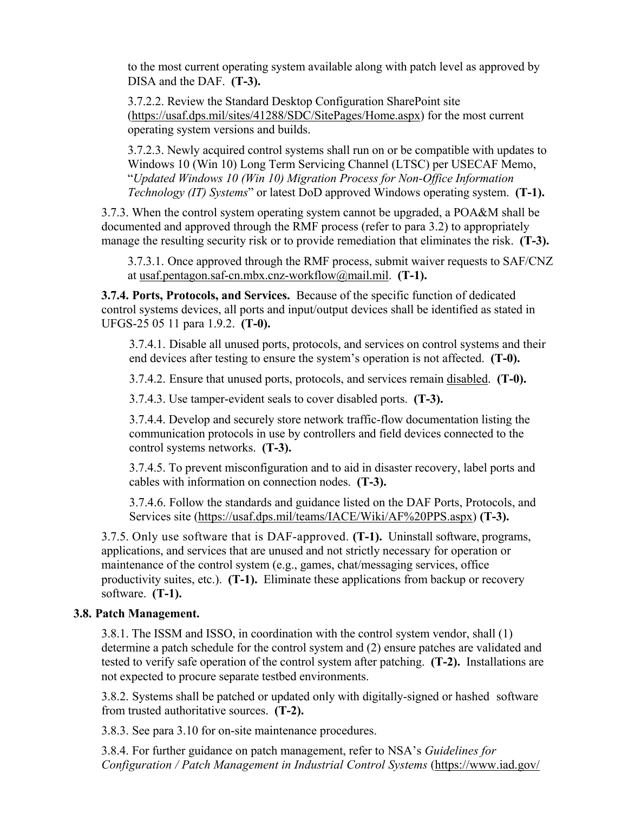to the most current operating system available along with patch level as approved by DISA and the DAF. **(T-3).**

3.7.2.2. Review the [Standard Desktop Configuration SharePoint site](https://org2.eis.af.mil/sites/20760/3/1/1/SDC/default.aspx) (https://usaf.dps.mil/sites/41288/SDC/SitePages/Home.aspx) for the most current operating system versions and builds.

3.7.2.3. Newly acquired control systems shall run on or be compatible with updates to Windows 10 (Win 10) Long Term Servicing Channel (LTSC) per USECAF Memo, "*Updated Windows 10 (Win 10) Migration Process for Non-Office Information Technology (IT) Systems*" or latest DoD approved Windows operating system. **(T-1).** 

3.7.3. When the control system operating system cannot be upgraded, a POA&M shall be documented and approved through the RMF process (refer to para 3.2) to appropriately manage the resulting security risk or to provide remediation that eliminates the risk. **(T-3).**

3.7.3.1. Once approved through the RMF process, submit waiver requests to SAF/CNZ at usaf.pentagon.saf-cn.mbx.cnz-workflow@mail.mil. **(T-1).**

**3.7.4. Ports, Protocols, and Services.** Because of the specific function of dedicated control systems devices, all ports and input/output devices shall be identified as stated in UFGS-25 05 11 para 1.9.2. **(T-0).**

3.7.4.1. Disable all unused ports, protocols, and services on control systems and their end devices after testing to ensure the system's operation is not affected. **(T-0).**

3.7.4.2. Ensure that unused ports, protocols, and services remain disabled. **(T-0).**

3.7.4.3. Use tamper-evident seals to cover disabled ports. **(T-3).**

3.7.4.4. Develop and securely store network traffic-flow documentation listing the communication protocols in use by controllers and field devices connected to the control systems networks. **(T-3).**

3.7.4.5. To prevent misconfiguration and to aid in disaster recovery, label ports and cables with information on connection nodes. **(T-3).**

3.7.4.6. Follow the standards and guidance listed on the DAF Ports, Protocols, and Services site (https://usaf.dps.mil/teams/IACE/Wiki/AF%20PPS.aspx) **(T-3).**

3.7.5. Only use software that is DAF-approved. **(T-1).** Uninstall software, programs, applications, and services that are unused and not strictly necessary for operation or maintenance of the control system (e.g., games, chat/messaging services, office productivity suites, etc.). **(T-1).** Eliminate these applications from backup or recovery software. **(T-1).**

# **3.8. Patch Management.**

3.8.1. The ISSM and ISSO, in coordination with the control system vendor, shall (1) determine a patch schedule for the control system and (2) ensure patches are validated and tested to verify safe operation of the control system after patching. **(T-2).** Installations are not expected to procure separate testbed environments.

3.8.2. Systems shall be patched or updated only with digitally-signed or hashed software from trusted authoritative sources. **(T-2).**

3.8.3. See para 3.10 for on-site maintenance procedures.

3.8.4. For further guidance on patch management, refer to NSA's *[Guidelines for](https://www.iad.gov/iad/library/ia-guidance/tech-briefs/guidelines-for-configuration-and-patch-management-in-industrial-control-systems.cfm)  [Configuration / Patch Management in Industrial Control Systems](https://www.iad.gov/iad/library/ia-guidance/tech-briefs/guidelines-for-configuration-and-patch-management-in-industrial-control-systems.cfm)* (https://www.iad.gov/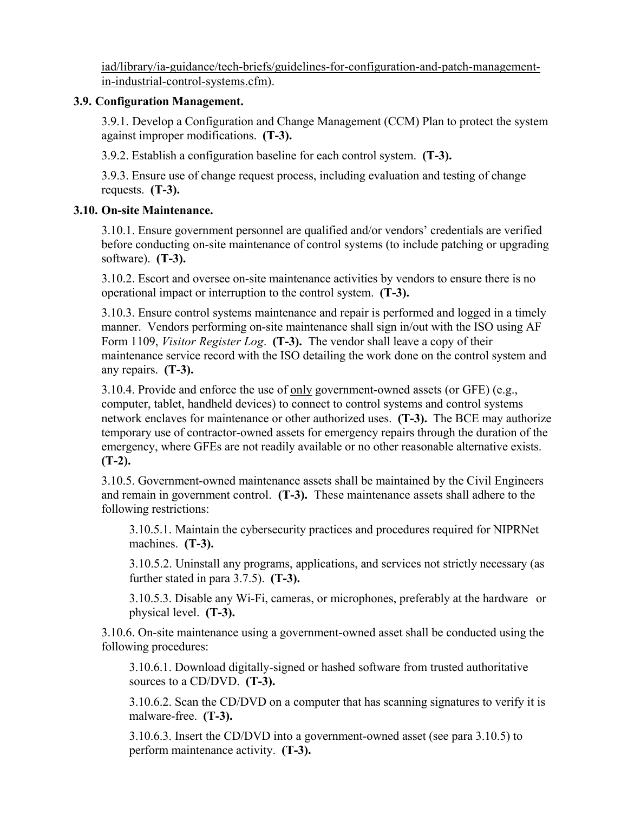iad/library/ia-guidance/tech-briefs/guidelines-for-configuration-and-patch-managementin-industrial-control-systems.cfm).

### **3.9. Configuration Management.**

3.9.1. Develop a Configuration and Change Management (CCM) Plan to protect the system against improper modifications. **(T-3).**

3.9.2. Establish a configuration baseline for each control system. **(T-3).**

3.9.3. Ensure use of change request process, including evaluation and testing of change requests. **(T-3).**

### **3.10. On-site Maintenance.**

3.10.1. Ensure government personnel are qualified and/or vendors' credentials are verified before conducting on-site maintenance of control systems (to include patching or upgrading software). **(T-3).**

3.10.2. Escort and oversee on-site maintenance activities by vendors to ensure there is no operational impact or interruption to the control system. **(T-3).**

3.10.3. Ensure control systems maintenance and repair is performed and logged in a timely manner. Vendors performing on-site maintenance shall sign in/out with the ISO using AF Form 1109, *Visitor Register Log*. **(T-3).** The vendor shall leave a copy of their maintenance service record with the ISO detailing the work done on the control system and any repairs. **(T-3).**

3.10.4. Provide and enforce the use of only government-owned assets (or GFE) (e.g., computer, tablet, handheld devices) to connect to control systems and control systems network enclaves for maintenance or other authorized uses. **(T-3).** The BCE may authorize temporary use of contractor-owned assets for emergency repairs through the duration of the emergency, where GFEs are not readily available or no other reasonable alternative exists. **(T-2).**

3.10.5. Government-owned maintenance assets shall be maintained by the Civil Engineers and remain in government control. **(T-3).** These maintenance assets shall adhere to the following restrictions:

3.10.5.1. Maintain the cybersecurity practices and procedures required for NIPRNet machines. **(T-3).**

3.10.5.2. Uninstall any programs, applications, and services not strictly necessary (as further stated in para 3.7.5). **(T-3).**

3.10.5.3. Disable any Wi-Fi, cameras, or microphones, preferably at the hardware or physical level. **(T-3).**

3.10.6. On-site maintenance using a government-owned asset shall be conducted using the following procedures:

3.10.6.1. Download digitally-signed or hashed software from trusted authoritative sources to a CD/DVD. **(T-3).**

3.10.6.2. Scan the CD/DVD on a computer that has scanning signatures to verify it is malware-free. **(T-3).**

3.10.6.3. Insert the CD/DVD into a government-owned asset (see para 3.10.5) to perform maintenance activity. **(T-3).**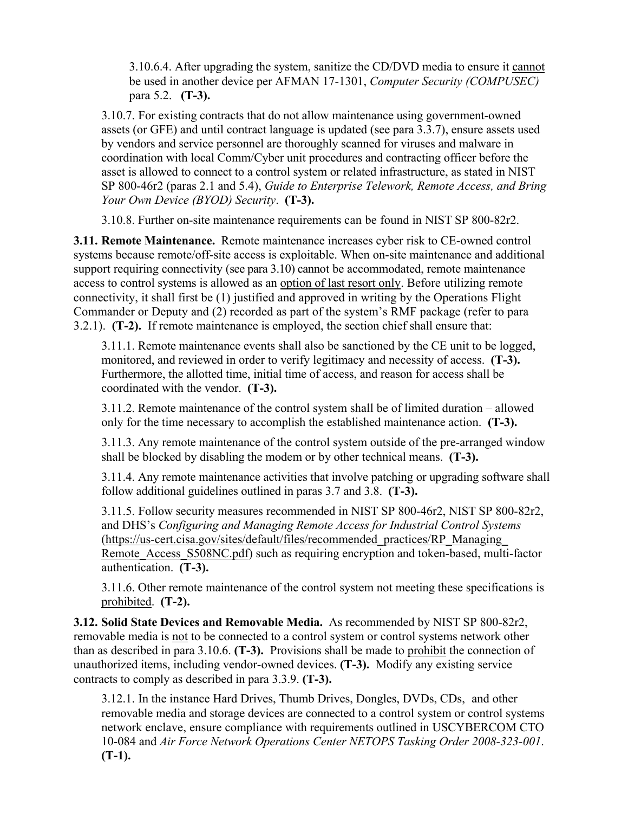3.10.6.4. After upgrading the system, sanitize the CD/DVD media to ensure it cannot be used in another device per AFMAN 17-1301, *[Computer Security \(COMPUSEC\)](http://static.e-publishing.af.mil/production/1/saf_cio_a6/publication/afman17-1301/afman17-1301.pdf)* para 5.2. **(T-3).**

3.10.7. For existing contracts that do not allow maintenance using government-owned assets (or GFE) and until contract language is updated (see para 3.3.7), ensure assets used by vendors and service personnel are thoroughly scanned for viruses and malware in coordination with local Comm/Cyber unit procedures and contracting officer before the asset is allowed to connect to a control system or related infrastructure, as stated in [NIST](http://nvlpubs.nist.gov/nistpubs/SpecialPublications/NIST.SP.800-46r2.pdf)  SP 800-46r2 (paras 2.1 and 5.4), *[Guide to Enterprise Telework, Remote Access, and Bring](http://nvlpubs.nist.gov/nistpubs/SpecialPublications/NIST.SP.800-46r2.pdf)  [Your Own Device \(BYOD\) Security](http://nvlpubs.nist.gov/nistpubs/SpecialPublications/NIST.SP.800-46r2.pdf)*. **(T-3).**

3.10.8. Further on-site maintenance requirements can be found in [NIST SP 800-82r2.](http://nvlpubs.nist.gov/nistpubs/SpecialPublications/NIST.SP.800-82r2.pdf)

**3.11. Remote Maintenance.** Remote maintenance increases cyber risk to CE-owned control systems because remote/off-site access is exploitable. When on-site maintenance and additional support requiring connectivity (see para 3.10) cannot be accommodated, remote maintenance access to control systems is allowed as an option of last resort only. Before utilizing remote connectivity, it shall first be (1) justified and approved in writing by the Operations Flight Commander or Deputy and (2) recorded as part of the system's RMF package (refer to para 3.2.1). **(T-2).** If remote maintenance is employed, the section chief shall ensure that:

3.11.1. Remote maintenance events shall also be sanctioned by the CE unit to be logged, monitored, and reviewed in order to verify legitimacy and necessity of access. **(T-3).** Furthermore, the allotted time, initial time of access, and reason for access shall be coordinated with the vendor. **(T-3).**

3.11.2. Remote maintenance of the control system shall be of limited duration – allowed only for the time necessary to accomplish the established maintenance action. **(T-3).**

3.11.3. Any remote maintenance of the control system outside of the pre-arranged window shall be blocked by disabling the modem or by other technical means. **(T-3).**

3.11.4. Any remote maintenance activities that involve patching or upgrading software shall follow additional guidelines outlined in paras 3.7 and 3.8. **(T-3).**

3.11.5. Follow security measures recommended in NIST SP [800-46r2,](http://nvlpubs.nist.gov/nistpubs/SpecialPublications/NIST.SP.800-46r2.pdf) [NIST SP 800-82r2,](http://nvlpubs.nist.gov/nistpubs/SpecialPublications/NIST.SP.800-82r2.pdf) and DHS's *[Configuring and Managing](https://ics-cert.us-cert.gov/sites/default/files/recommended_practices/RP_Managing_Remote_Access_S508NC.pdf) Remote Access for Industrial Control Systems* [\(https://us-cert.cisa.gov/sites/default/files/recommended\\_practices/RP\\_Managing\\_](https://us-cert.cisa.gov/sites/default/files/recommended_practices/RP_Managing_) Remote Access S508NC.pdf) such as requiring encryption and token-based, multi-factor authentication. **(T-3).**

3.11.6. Other remote maintenance of the control system not meeting these specifications is prohibited. **(T-2).**

**3.12. Solid State Devices and Removable Media.** As recommended by NIST SP [800-82r2,](http://nvlpubs.nist.gov/nistpubs/SpecialPublications/NIST.SP.800-82r2.pdf) removable media is not to be connected to a control system or control systems network other than as described in para 3.10.6. **(T-3).** Provisions shall be made to prohibit the connection of unauthorized items, including vendor-owned devices. **(T-3).** Modify any existing service contracts to comply as described in para 3.3.9. **(T-3).**

3.12.1. In the instance Hard Drives, Thumb Drives, Dongles, DVDs, CDs, and other removable media and storage devices are connected to a control system or control systems network enclave, ensure compliance with requirements outlined in [USCYBERCOM](https://www.cybercom.mil/J3/order/CTO/CTO_10_084.pdf) CTO [10-084](https://www.cybercom.mil/J3/order/CTO/CTO_10_084.pdf) and *Air Force Network Operations Center NETOPS Tasking Order 2008-323-001*. **(T-1).**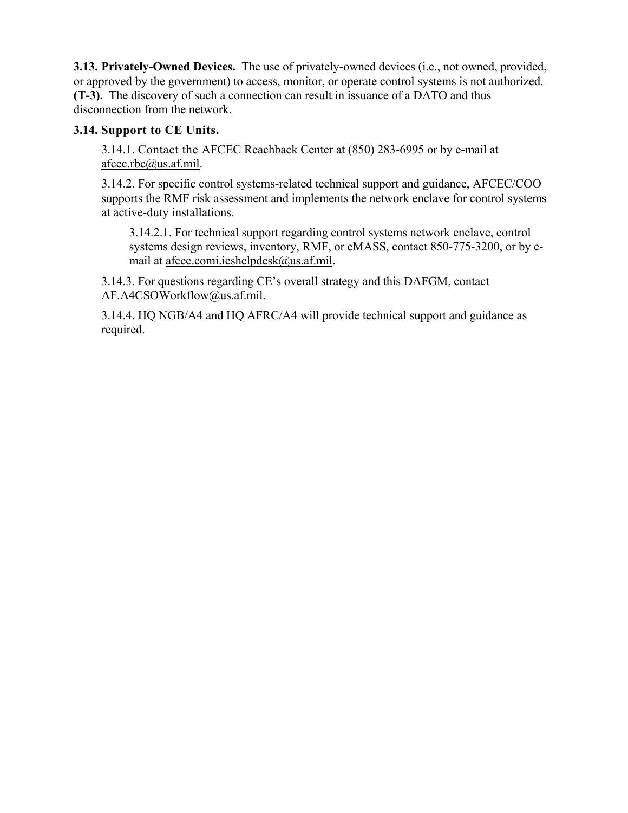**3.13. Privately-Owned Devices.** The use of privately-owned devices (i.e., not owned, provided, or approved by the government) to access, monitor, or operate control systems is not authorized. **(T-3).** The discovery of such a connection can result in issuance of a DATO and thus disconnection from the network.

### **3.14. Support to CE Units.**

3.14.1. Contact the AFCEC Reachback Center at (850) 283-6995 or by e-mail at afcec.rbc@us.af.mil.

3.14.2. For specific control systems-related technical support and guidance, AFCEC/COO supports the RMF risk assessment and implements the network enclave for control systems at active-duty installations.

3.14.2.1. For technical support regarding control systems network enclave, control systems design reviews, inventory, RMF, or eMASS, contact 850-775-3200, or by email at [afcec.comi.icshelpdesk@us.af.mil.](mailto:afcec.comi.icshelpdesk@us.af.mil)

3.14.3. For questions regarding CE's overall strategy and this DAFGM, contact AF.A4CSOWorkflow@us.af.mil.

3.14.4. HQ NGB/A4 and HQ AFRC/A4 will provide technical support and guidance as required.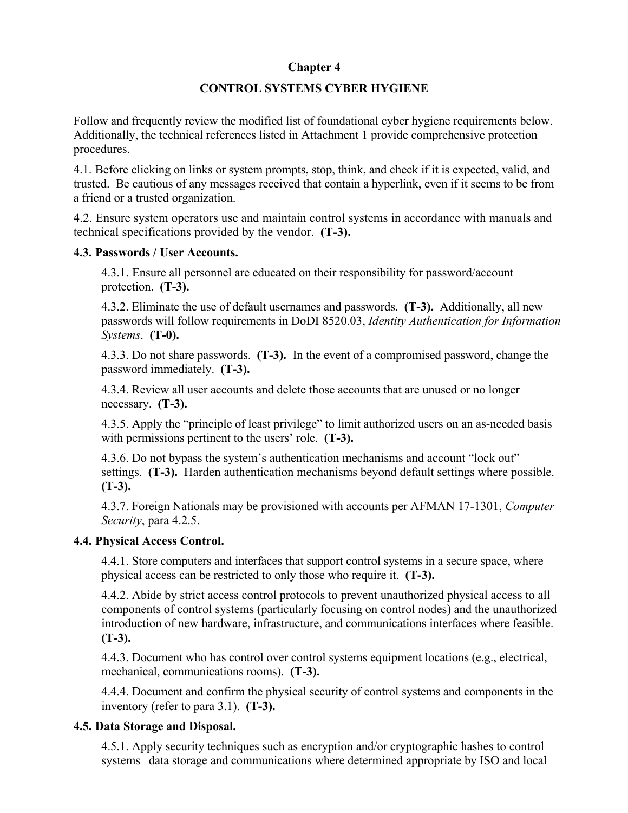### **Chapter 4**

### **CONTROL SYSTEMS CYBER HYGIENE**

Follow and frequently review the modified list of foundational cyber hygiene requirements below. Additionally, the technical references listed in Attachment 1 provide comprehensive protection procedures.

4.1. Before clicking on links or system prompts, stop, think, and check if it is expected, valid, and trusted. Be cautious of any messages received that contain a hyperlink, even if it seems to be from a friend or a trusted organization.

4.2. Ensure system operators use and maintain control systems in accordance with manuals and technical specifications provided by the vendor. **(T-3).** 

#### **4.3. Passwords / User Accounts.**

4.3.1. Ensure all personnel are educated on their responsibility for password/account protection. **(T-3).**

4.3.2. Eliminate the use of default usernames and passwords. **(T-3).** Additionally, all new passwords will follow requirements in DoDI 8520.03, *[Identity Authentication for Information](http://www.esd.whs.mil/Portals/54/Documents/DD/issuances/dodi/852003p.pdf)  [Systems](http://www.esd.whs.mil/Portals/54/Documents/DD/issuances/dodi/852003p.pdf)*. **(T-0).** 

4.3.3. Do not share passwords. **(T-3).** In the event of a compromised password, change the password immediately. **(T-3).**

4.3.4. Review all user accounts and delete those accounts that are unused or no longer necessary. **(T-3).**

4.3.5. Apply the "principle of least privilege" to limit authorized users on an as-needed basis with permissions pertinent to the users' role. **(T-3).**

4.3.6. Do not bypass the system's authentication mechanisms and account "lock out" settings. **(T-3).** Harden authentication mechanisms beyond default settings where possible. **(T-3).**

4.3.7. Foreign Nationals may be provisioned with accounts per [AFMAN 17-1301,](http://static.e-publishing.af.mil/production/1/saf_cio_a6/publication/afi17-130/afi17-130.pdf) *Computer Security*, [para 4.2.5.](http://static.e-publishing.af.mil/production/1/saf_cio_a6/publication/afi17-130/afi17-130.pdf)

#### **4.4. Physical Access Control.**

4.4.1. Store computers and interfaces that support control systems in a secure space, where physical access can be restricted to only those who require it. **(T-3).**

4.4.2. Abide by strict access control protocols to prevent unauthorized physical access to all components of control systems (particularly focusing on control nodes) and the unauthorized introduction of new hardware, infrastructure, and communications interfaces where feasible. **(T-3).**

4.4.3. Document who has control over control systems equipment locations (e.g., electrical, mechanical, communications rooms). **(T-3).**

4.4.4. Document and confirm the physical security of control systems and components in the inventory (refer to para 3.1). **(T-3).**

#### **4.5. Data Storage and Disposal.**

4.5.1. Apply security techniques such as encryption and/or cryptographic hashes to control systems data storage and communications where determined appropriate by ISO and local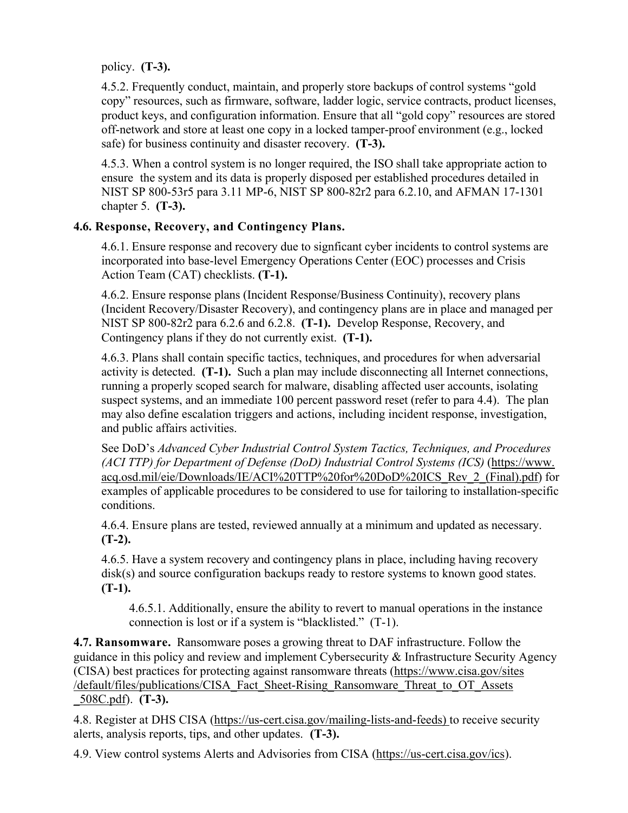policy. **(T-3).**

4.5.2. Frequently conduct, maintain, and properly store backups of control systems "gold copy" resources, such as firmware, software, ladder logic, service contracts, product licenses, product keys, and configuration information. Ensure that all "gold copy" resources are stored off-network and store at least one copy in a locked tamper-proof environment (e.g., locked safe) for business continuity and disaster recovery. **(T-3).**

4.5.3. When a control system is no longer required, the ISO shall take appropriate action to ensure the system and its data is properly disposed per established procedures detailed in [NIST SP 800-53r5](https://csrc.nist.gov/csrc/media/publications/sp/800-53/rev-5/draft/documents/sp800-53r5-draft.pdf) para 3.11 MP-6, [NIST SP 800-82r2 para 6.2.10,](http://nvlpubs.nist.gov/nistpubs/SpecialPublications/NIST.SP.800-82r2.pdf) and [AFMAN 17-1301](http://static.e-publishing.af.mil/production/1/saf_cio_a6/publication/afman17-1301/afman17-1301.pdf)  [chapter 5.](http://static.e-publishing.af.mil/production/1/saf_cio_a6/publication/afman17-1301/afman17-1301.pdf) **(T-3).**

# **4.6. Response, Recovery, and Contingency Plans.**

4.6.1. Ensure response and recovery due to signficant cyber incidents to control systems are incorporated into base-level Emergency Operations Center (EOC) processes and Crisis Action Team (CAT) checklists. **(T-1).**

4.6.2. Ensure response plans (Incident Response/Business Continuity), recovery plans (Incident Recovery/Disaster Recovery), and contingency plans are in place and managed per [NIST SP 800-82r2 para 6.2.6 and 6.2.8.](http://nvlpubs.nist.gov/nistpubs/SpecialPublications/NIST.SP.800-82r2.pdf) **(T-1).** Develop Response, Recovery, and Contingency plans if they do not currently exist. **(T-1).**

4.6.3. Plans shall contain specific tactics, techniques, and procedures for when adversarial activity is detected. **(T-1).** Such a plan may include disconnecting all Internet connections, running a properly scoped search for malware, disabling affected user accounts, isolating suspect systems, and an immediate 100 percent password reset (refer to para 4.4). The plan may also define escalation triggers and actions, including incident response, investigation, and public affairs activities.

See DoD's *[Advanced Cyber Industrial Control System Tactics, Techniques, and Procedures](https://www.acq.osd.mil/eie/Downloads/IE/ACI%20TTP%20for%20DoD%20ICS_Rev_2_(Final).pdf)  [\(ACI TTP\) for Department of Defense \(DoD\) Industrial Control Systems \(ICS\)](https://www.acq.osd.mil/eie/Downloads/IE/ACI%20TTP%20for%20DoD%20ICS_Rev_2_(Final).pdf)* (https://www. acq.osd.mil/eie/Downloads/IE/ACI%20TTP%20for%20DoD%20ICS\_Rev\_2\_(Final).pdf) for examples of applicable procedures to be considered to use for tailoring to installation-specific conditions.

4.6.4. Ensure plans are tested, reviewed annually at a minimum and updated as necessary. **(T-2).**

4.6.5. Have a system recovery and contingency plans in place, including having recovery disk(s) and source configuration backups ready to restore systems to known good states. **(T-1).**

4.6.5.1. Additionally, ensure the ability to revert to manual operations in the instance connection is lost or if a system is "blacklisted." (T-1).

**4.7. Ransomware.** Ransomware poses a growing threat to DAF infrastructure. Follow the guidance in this policy and review and implement Cybersecurity & Infrastructure Security Agency (CISA) best practices for protecting against ransomware threats [\(https://www.cisa.gov/sites](https://www.cisa.gov/sites) /default/files/publications/CISA\_Fact\_Sheet-Rising\_Ransomware\_Threat\_to\_OT\_Assets \_508C.pdf). **(T-3).**

4.8. Register at DHS CISA (https://us-cert.cisa.gov/mailing-lists-and-feeds) to receive security alerts, analysis reports, tips, and other updates. **(T-3).**

4.9. View control systems Alerts and Advisories from CISA (https://us-cert.cisa.gov/ics).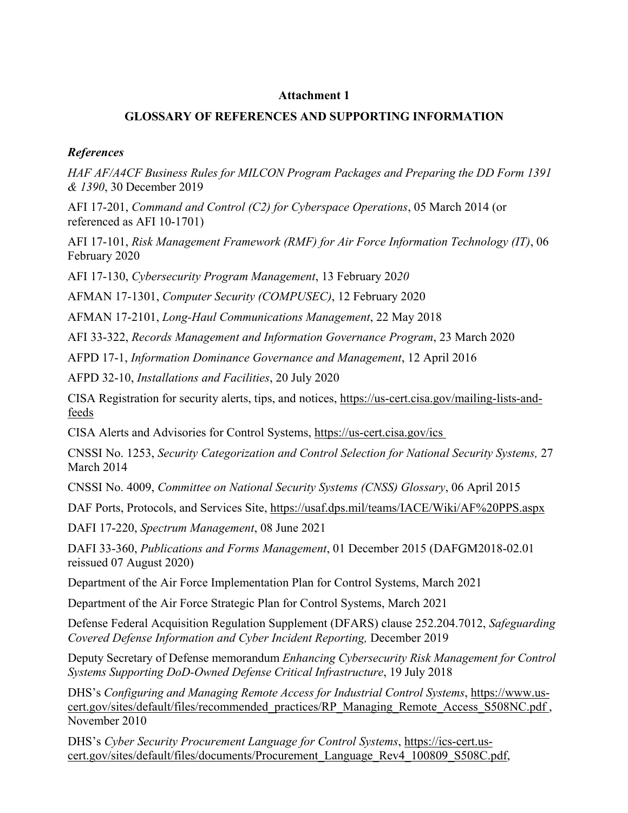# **Attachment 1**

# **GLOSSARY OF REFERENCES AND SUPPORTING INFORMATION**

# *References*

*HAF AF/A4CF Business Rules for MILCON Program Packages and Preparing the DD Form 1391 & 1390*, 30 December 2019

AFI 17-201, *Command and Control (C2) for Cyberspace Operations*, 05 March 2014 (or referenced as AFI 10-1701)

AFI 17-101, *Risk Management Framework (RMF) for Air Force Information Technology (IT)*, 06 February 2020

AFI 17-130, *Cybersecurity Program Management*, 13 February 20*20*

AFMAN 17-1301, *Computer Security (COMPUSEC)*, 12 February 2020

AFMAN 17-2101, *Long-Haul Communications Management*, 22 May 2018

AFI 33-322, *Records Management and Information Governance Program*, 23 March 2020

AFPD 17-1, *Information Dominance Governance and Management*, 12 April 2016

AFPD 32-10, *Installations and Facilities*, 20 July 2020

CISA Registration for security alerts, tips, and notices, https://us-cert.cisa.gov/mailing-lists-andfeeds

CISA Alerts and Advisories for Control Systems, https://us-cert.cisa.gov/ics

CNSSI No. 1253, *Security Categorization and Control Selection for National Security Systems,* 27 March 2014

CNSSI No. 4009, *Committee on National Security Systems (CNSS) Glossary*, 06 April 2015

DAF Ports, Protocols, and Services Site, https://usaf.dps.mil/teams/IACE/Wiki/AF%20PPS.aspx

DAFI 17-220, *Spectrum Management*, 08 June 2021

DAFI 33-360, *Publications and Forms Management*, 01 December 2015 (DAFGM2018-02.01 reissued 07 August 2020)

Department of the Air Force Implementation Plan for Control Systems, March 2021

Department of the Air Force Strategic Plan for Control Systems, March 2021

Defense Federal Acquisition Regulation Supplement (DFARS) clause 252.204.7012, *Safeguarding Covered Defense Information and Cyber Incident Reporting,* December 2019

Deputy Secretary of Defense memorandum *Enhancing Cybersecurity Risk Management for Control Systems Supporting DoD-Owned Defense Critical Infrastructure*, 19 July 2018

DHS's *Configuring and Managing Remote Access for Industrial Control Systems*, https://www.uscert.gov/sites/default/files/recommended\_practices/RP\_Managing\_Remote\_Access\_S508NC.pdf , November 2010

DHS's *Cyber Security Procurement Language for Control Systems*, https://ics-cert.uscert.gov/sites/default/files/documents/Procurement\_Language\_Rev4\_100809\_S508C.pdf,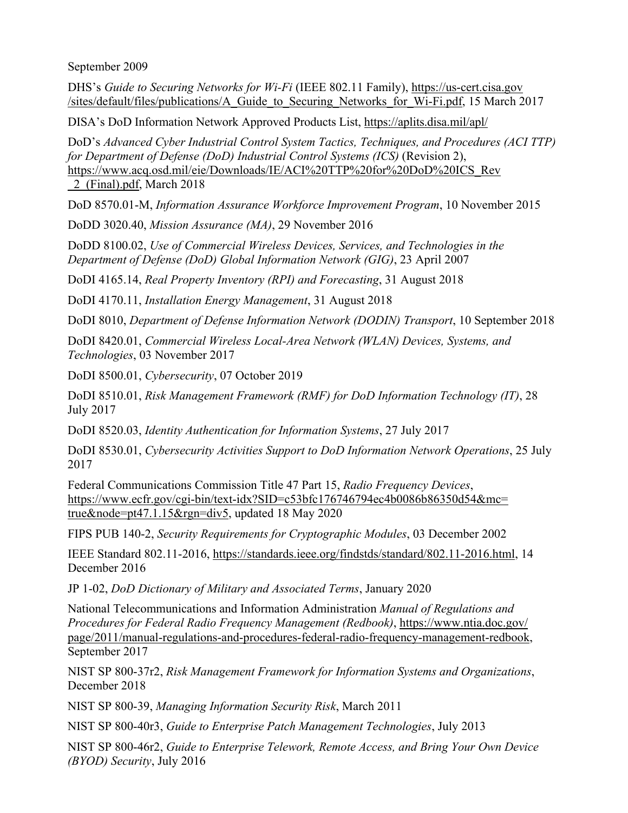September 2009

DHS's *Guide to Securing Networks for Wi-Fi* (IEEE 802.11 Family), https://us-cert.cisa.gov /sites/default/files/publications/A\_Guide\_to\_Securing\_Networks\_for\_Wi-Fi.pdf, 15 March 2017

DISA's DoD Information Network Approved Products List, https://aplits.disa.mil/apl/

DoD's *Advanced Cyber Industrial Control System Tactics, Techniques, and Procedures (ACI TTP) for Department of Defense (DoD) Industrial Control Systems (ICS)* (Revision 2), https://www.acq.osd.mil/eie/Downloads/IE/ACI%20TTP%20for%20DoD%20ICS\_Rev \_2\_(Final).pdf, March 2018

DoD 8570.01-M, *Information Assurance Workforce Improvement Program*, 10 November 2015

DoDD 3020.40, *Mission Assurance (MA)*, 29 November 2016

DoDD 8100.02, *Use of Commercial Wireless Devices, Services, and Technologies in the Department of Defense (DoD) Global Information Network (GIG)*, 23 April 2007

DoDI 4165.14, *Real Property Inventory (RPI) and Forecasting*, 31 August 2018

DoDI 4170.11, *Installation Energy Management*, 31 August 2018

DoDI 8010, *Department of Defense Information Network (DODIN) Transport*, 10 September 2018

DoDI 8420.01, *Commercial Wireless Local-Area Network (WLAN) Devices, Systems, and Technologies*, 03 November 2017

DoDI 8500.01, *Cybersecurity*, 07 October 2019

DoDI 8510.01, *Risk Management Framework (RMF) for DoD Information Technology (IT)*, 28 July 2017

DoDI 8520.03, *Identity Authentication for Information Systems*, 27 July 2017

DoDI 8530.01, *Cybersecurity Activities Support to DoD Information Network Operations*, 25 July 2017

Federal Communications Commission Title 47 Part 15, *Radio Frequency Devices*, https://www.ecfr.gov/cgi-bin/text-idx?SID=c53bfc176746794ec4b0086b86350d54&mc= true&node=pt47.1.15&rgn=div5, updated 18 May 2020

FIPS PUB 140-2, *Security Requirements for Cryptographic Modules*, 03 December 2002

IEEE Standard 802.11-2016, https://standards.ieee.org/findstds/standard/802.11-2016.html, 14 December 2016

JP 1-02, *DoD Dictionary of Military and Associated Terms*, January 2020

National Telecommunications and Information Administration *Manual of Regulations and Procedures for Federal Radio Frequency Management (Redbook)*, https://www.ntia.doc.gov/ page/2011/manual-regulations-and-procedures-federal-radio-frequency-management-redbook, September 2017

NIST SP 800-37r2, *Risk Management Framework for Information Systems and Organizations*, December 2018

NIST SP 800-39, *Managing Information Security Risk*, March 2011

NIST SP 800-40r3, *Guide to Enterprise Patch Management Technologies*, July 2013

NIST SP 800-46r2, *Guide to Enterprise Telework, Remote Access, and Bring Your Own Device (BYOD) Security*, July 2016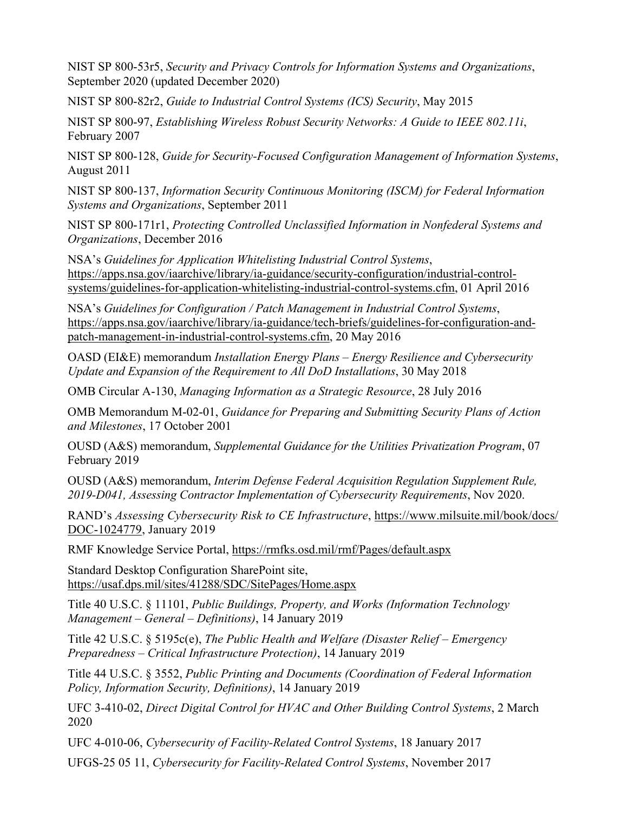NIST SP 800-53r5, *Security and Privacy Controls for Information Systems and Organizations*, September 2020 (updated December 2020)

NIST SP 800-82r2, *Guide to Industrial Control Systems (ICS) Security*, May 2015

NIST SP 800-97, *Establishing Wireless Robust Security Networks: A Guide to IEEE 802.11i*, February 2007

NIST SP 800-128, *Guide for Security-Focused Configuration Management of Information Systems*, August 2011

NIST SP 800-137, *Information Security Continuous Monitoring (ISCM) for Federal Information Systems and Organizations*, September 2011

NIST SP 800-171r1, *Protecting Controlled Unclassified Information in Nonfederal Systems and Organizations*, December 2016

NSA's *Guidelines for Application Whitelisting Industrial Control Systems*, https://apps.nsa.gov/iaarchive/library/ia-guidance/security-configuration/industrial-controlsystems/guidelines-for-application-whitelisting-industrial-control-systems.cfm, 01 April 2016

NSA's *Guidelines for Configuration / Patch Management in Industrial Control Systems*, [https://apps.nsa.gov/iaarchive/library/ia-guidance/tech-briefs/guidelines-for-configuration-and](https://apps.nsa.gov/iaarchive/library/ia-guidance/tech-briefs/guidelines-for-configuration-and-patch-management-in-industrial-control-systems.cfm)[patch-management-in-industrial-control-systems.cfm,](https://apps.nsa.gov/iaarchive/library/ia-guidance/tech-briefs/guidelines-for-configuration-and-patch-management-in-industrial-control-systems.cfm) 20 May 2016

OASD (EI&E) memorandum *Installation Energy Plans – Energy Resilience and Cybersecurity Update and Expansion of the Requirement to All DoD Installations*, 30 May 2018

OMB Circular A-130, *Managing Information as a Strategic Resource*, 28 July 2016

OMB Memorandum M-02-01, *Guidance for Preparing and Submitting Security Plans of Action and Milestones*, 17 October 2001

OUSD (A&S) memorandum, *Supplemental Guidance for the Utilities Privatization Program*, 07 February 2019

OUSD (A&S) memorandum, *Interim Defense Federal Acquisition Regulation Supplement Rule, 2019-D041, Assessing Contractor Implementation of Cybersecurity Requirements*, Nov 2020.

RAND's *Assessing Cybersecurity Risk to CE Infrastructure*, https://www.milsuite.mil/book/docs/ DOC-1024779, January 2019

RMF Knowledge Service Portal,<https://rmfks.osd.mil/rmf/Pages/default.aspx>

Standard Desktop Configuration SharePoint site, https://usaf.dps.mil/sites/41288/SDC/SitePages/Home.aspx

Title 40 U.S.C. § 11101, *Public Buildings, Property, and Works (Information Technology Management – General – Definitions)*, 14 January 2019

Title 42 U.S.C. § 5195c(e), *The Public Health and Welfare (Disaster Relief – Emergency Preparedness – Critical Infrastructure Protection)*, 14 January 2019

Title 44 U.S.C. § 3552, *Public Printing and Documents (Coordination of Federal Information Policy, Information Security, Definitions)*, 14 January 2019

UFC 3-410-02, *Direct Digital Control for HVAC and Other Building Control Systems*, 2 March 2020

UFC 4-010-06, *Cybersecurity of Facility-Related Control Systems*, 18 January 2017

UFGS-25 05 11, *Cybersecurity for Facility-Related Control Systems*, November 2017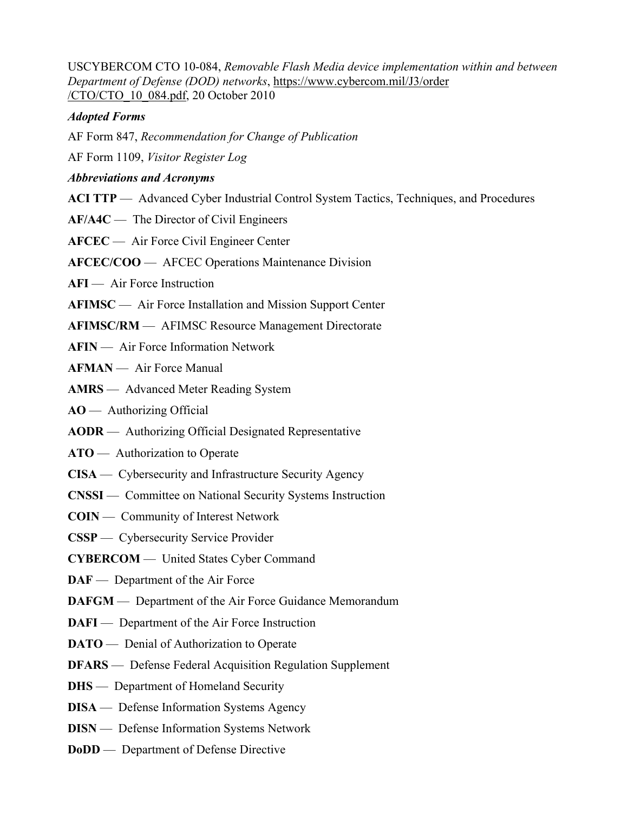USCYBERCOM CTO 10-084, *Removable Flash Media device implementation within and between Department of Defense (DOD) networks*, https://www.cybercom.mil/J3/order /CTO/CTO\_10\_084.pdf, 20 October 2010

### *Adopted Forms*

AF Form 847, *Recommendation for Change of Publication*

AF Form 1109, *Visitor Register Log*

*Abbreviations and Acronyms*

- **ACI TTP** Advanced Cyber Industrial Control System Tactics, Techniques, and Procedures
- **AF/A4C** The Director of Civil Engineers
- **AFCEC** Air Force Civil Engineer Center

**AFCEC/COO** — AFCEC Operations Maintenance Division

**AFI** — Air Force Instruction

**AFIMSC** — Air Force Installation and Mission Support Center

**AFIMSC/RM** — AFIMSC Resource Management Directorate

**AFIN** — Air Force Information Network

**AFMAN** — Air Force Manual

**AMRS** — Advanced Meter Reading System

**AO** — Authorizing Official

**AODR** — Authorizing Official Designated Representative

**ATO** — Authorization to Operate

- **CISA**  Cybersecurity and Infrastructure Security Agency
- **CNSSI** Committee on National Security Systems Instruction
- **COIN** Community of Interest Network

**CSSP** — Cybersecurity Service Provider

**CYBERCOM** — United States Cyber Command

**DAF** — Department of the Air Force

- **DAFGM** Department of the Air Force Guidance Memorandum
- **DAFI** Department of the Air Force Instruction
- **DATO** Denial of Authorization to Operate
- **DFARS** Defense Federal Acquisition Regulation Supplement
- **DHS** Department of Homeland Security
- **DISA** Defense Information Systems Agency
- **DISN** Defense Information Systems Network
- **DoDD** Department of Defense Directive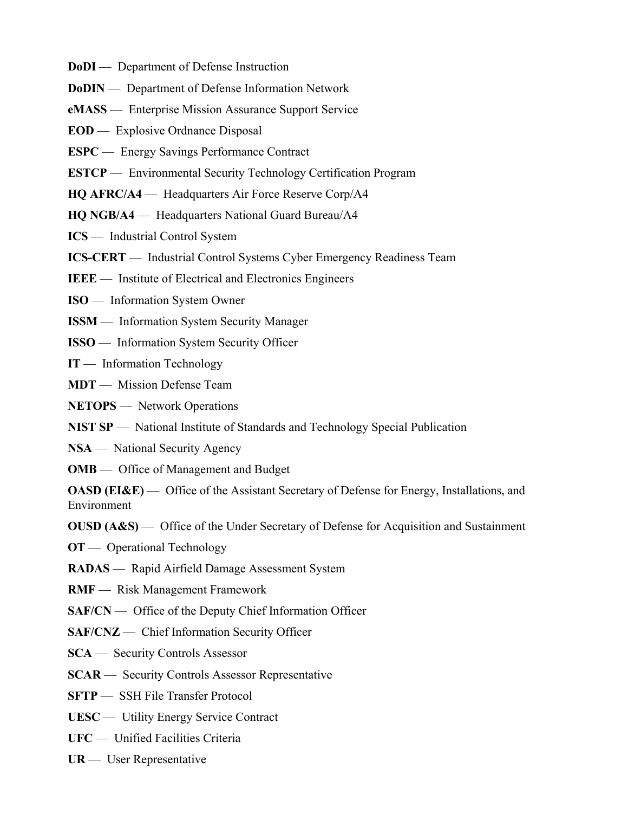- **DoDI** Department of Defense Instruction
- **DoDIN** Department of Defense Information Network
- **eMASS** Enterprise Mission Assurance Support Service
- **EOD** Explosive Ordnance Disposal
- **ESPC** Energy Savings Performance Contract
- **ESTCP** Environmental Security Technology Certification Program
- **HQ AFRC/A4** Headquarters Air Force Reserve Corp/A4
- **HQ NGB/A4** Headquarters National Guard Bureau/A4
- **ICS** Industrial Control System
- **ICS-CERT** Industrial Control Systems Cyber Emergency Readiness Team
- **IEEE** Institute of Electrical and Electronics Engineers
- **ISO** Information System Owner
- **ISSM** Information System Security Manager
- **ISSO** Information System Security Officer
- **IT** Information Technology
- **MDT** Mission Defense Team
- **NETOPS** Network Operations
- **NIST SP** National Institute of Standards and Technology Special Publication
- **NSA** National Security Agency
- **OMB** Office of Management and Budget
- **OASD (EI&E)** Office of the Assistant Secretary of Defense for Energy, Installations, and Environment
- **OUSD (A&S)** Office of the Under Secretary of Defense for Acquisition and Sustainment
- **OT** Operational Technology
- **RADAS** Rapid Airfield Damage Assessment System
- **RMF** Risk Management Framework
- **SAF/CN** Office of the Deputy Chief Information Officer
- **SAF/CNZ** Chief Information Security Officer
- **SCA** Security Controls Assessor
- **SCAR** Security Controls Assessor Representative
- **SFTP** SSH File Transfer Protocol
- **UESC** Utility Energy Service Contract
- **UFC** Unified Facilities Criteria
- **UR**  User Representative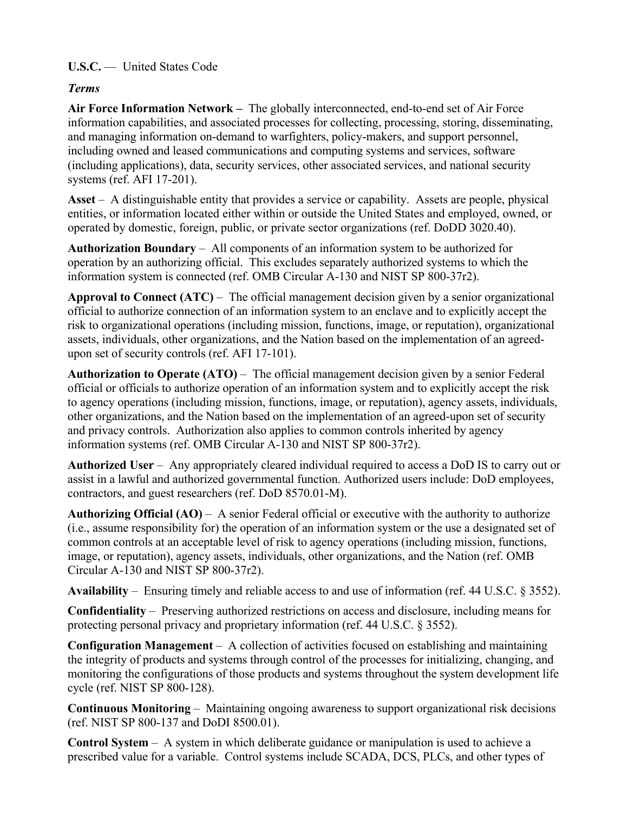# **U.S.C.** — United States Code

# *Terms*

**Air Force Information Network –** The globally interconnected, end-to-end set of Air Force information capabilities, and associated processes for collecting, processing, storing, disseminating, and managing information on-demand to warfighters, policy-makers, and support personnel, including owned and leased communications and computing systems and services, software (including applications), data, security services, other associated services, and national security systems (ref. AFI 17-201).

**Asset** – A distinguishable entity that provides a service or capability. Assets are people, physical entities, or information located either within or outside the United States and employed, owned, or operated by domestic, foreign, public, or private sector organizations (ref. DoDD 3020.40).

**Authorization Boundary** – All components of an information system to be authorized for operation by an authorizing official. This excludes separately authorized systems to which the information system is connected (ref. OMB Circular A-130 and NIST SP 800-37r2).

**Approval to Connect (ATC)** – The official management decision given by a senior organizational official to authorize connection of an information system to an enclave and to explicitly accept the risk to organizational operations (including mission, functions, image, or reputation), organizational assets, individuals, other organizations, and the Nation based on the implementation of an agreedupon set of security controls (ref. AFI 17-101).

**Authorization to Operate (ATO)** – The official management decision given by a senior Federal official or officials to authorize operation of an information system and to explicitly accept the risk to agency operations (including mission, functions, image, or reputation), agency assets, individuals, other organizations, and the Nation based on the implementation of an agreed-upon set of security and privacy controls. Authorization also applies to common controls inherited by agency information systems (ref. OMB Circular A-130 and NIST SP 800-37r2).

**Authorized User** – Any appropriately cleared individual required to access a DoD IS to carry out or assist in a lawful and authorized governmental function. Authorized users include: DoD employees, contractors, and guest researchers (ref. DoD 8570.01-M).

**Authorizing Official (AO)** – A senior Federal official or executive with the authority to authorize (i.e., assume responsibility for) the operation of an information system or the use a designated set of common controls at an acceptable level of risk to agency operations (including mission, functions, image, or reputation), agency assets, individuals, other organizations, and the Nation (ref. OMB Circular A-130 and NIST SP 800-37r2).

**Availability** – Ensuring timely and reliable access to and use of information (ref. 44 U.S.C. § 3552).

**Confidentiality** – Preserving authorized restrictions on access and disclosure, including means for protecting personal privacy and proprietary information (ref. 44 U.S.C. § 3552).

**Configuration Management** – A collection of activities focused on establishing and maintaining the integrity of products and systems through control of the processes for initializing, changing, and monitoring the configurations of those products and systems throughout the system development life cycle (ref. NIST SP 800-128).

**Continuous Monitoring** – Maintaining ongoing awareness to support organizational risk decisions (ref. NIST SP 800-137 and DoDI 8500.01).

**Control System** – A system in which deliberate guidance or manipulation is used to achieve a prescribed value for a variable. Control systems include SCADA, DCS, PLCs, and other types of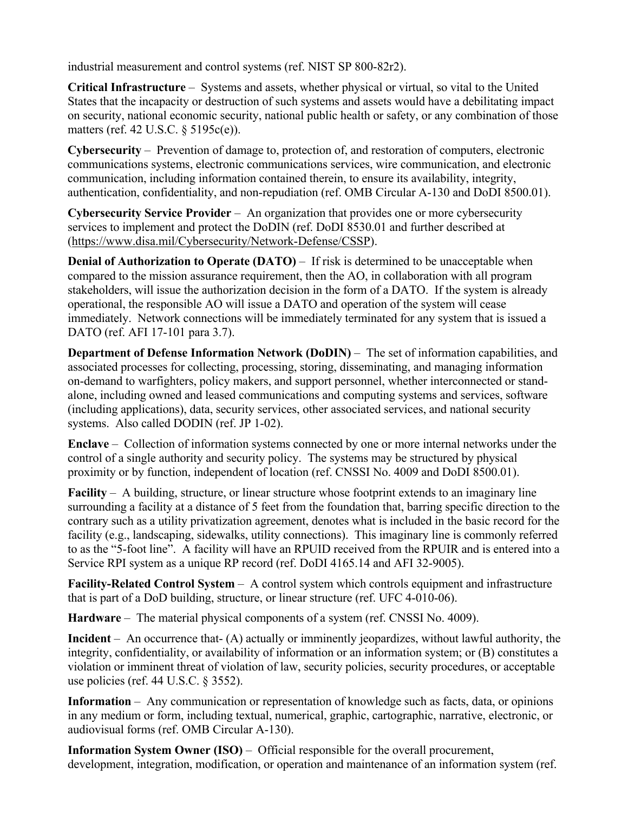industrial measurement and control systems (ref. NIST SP 800-82r2).

**Critical Infrastructure** – Systems and assets, whether physical or virtual, so vital to the United States that the incapacity or destruction of such systems and assets would have a debilitating impact on security, national economic security, national public health or safety, or any combination of those matters (ref. 42 U.S.C. § 5195c(e)).

**Cybersecurity** – Prevention of damage to, protection of, and restoration of computers, electronic communications systems, electronic communications services, wire communication, and electronic communication, including information contained therein, to ensure its availability, integrity, authentication, confidentiality, and non-repudiation (ref. OMB Circular A-130 and DoDI 8500.01).

**Cybersecurity Service Provider** – An organization that provides one or more cybersecurity services to implement and protect the DoDIN (ref. DoDI 8530.01 and further described at [\(https://www.disa.mil/Cybersecurity/Network-Defense/CSSP\)](https://www.disa.mil/Cybersecurity/Network-Defense/CSSP).

**Denial of Authorization to Operate (DATO) – If risk is determined to be unacceptable when** compared to the mission assurance requirement, then the AO, in collaboration with all program stakeholders, will issue the authorization decision in the form of a DATO. If the system is already operational, the responsible AO will issue a DATO and operation of the system will cease immediately. Network connections will be immediately terminated for any system that is issued a DATO (ref. AFI 17-101 para 3.7).

**Department of Defense Information Network (DoDIN)** – The set of information capabilities, and associated processes for collecting, processing, storing, disseminating, and managing information on-demand to warfighters, policy makers, and support personnel, whether interconnected or standalone, including owned and leased communications and computing systems and services, software (including applications), data, security services, other associated services, and national security systems. Also called DODIN (ref. JP 1-02).

**Enclave** – Collection of information systems connected by one or more internal networks under the control of a single authority and security policy. The systems may be structured by physical proximity or by function, independent of location (ref. CNSSI No. 4009 and DoDI 8500.01).

**Facility** – A building, structure, or linear structure whose footprint extends to an imaginary line surrounding a facility at a distance of 5 feet from the foundation that, barring specific direction to the contrary such as a utility privatization agreement, denotes what is included in the basic record for the facility (e.g., landscaping, sidewalks, utility connections). This imaginary line is commonly referred to as the "5-foot line". A facility will have an RPUID received from the RPUIR and is entered into a Service RPI system as a unique RP record (ref. DoDI 4165.14 and AFI 32-9005).

**Facility-Related Control System** – A control system which controls equipment and infrastructure that is part of a DoD building, structure, or linear structure (ref. UFC 4-010-06).

**Hardware** – The material physical components of a system (ref. CNSSI No. 4009).

**Incident** – An occurrence that- (A) actually or imminently jeopardizes, without lawful authority, the integrity, confidentiality, or availability of information or an information system; or (B) constitutes a violation or imminent threat of violation of law, security policies, security procedures, or acceptable use policies (ref. 44 U.S.C. § 3552).

**Information** – Any communication or representation of knowledge such as facts, data, or opinions in any medium or form, including textual, numerical, graphic, cartographic, narrative, electronic, or audiovisual forms (ref. OMB Circular A-130).

**Information System Owner (ISO)** – Official responsible for the overall procurement, development, integration, modification, or operation and maintenance of an information system (ref.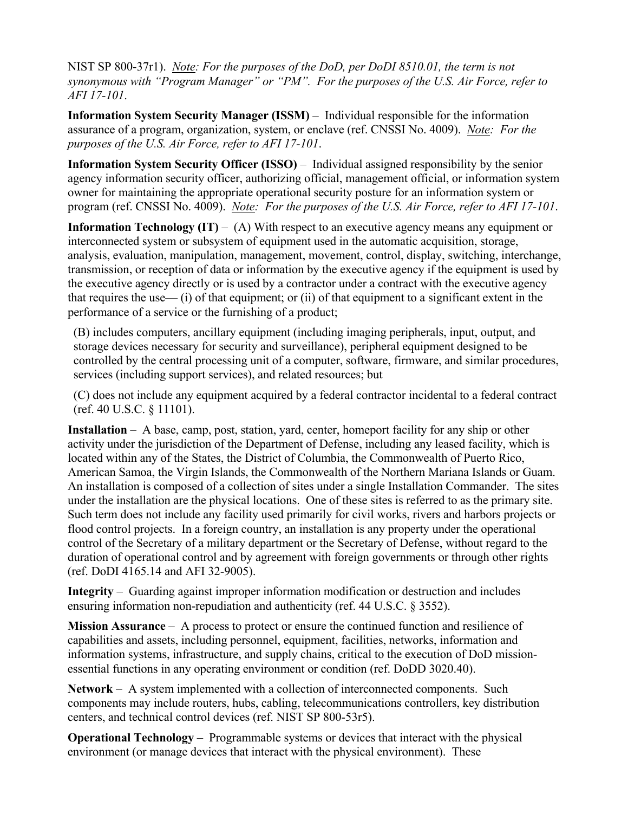NIST SP 800-37r1). *Note: For the purposes of the DoD, per DoDI 8510.01, the term is not synonymous with "Program Manager" or "PM". For the purposes of the U.S. Air Force, refer to AFI 17-101*.

**Information System Security Manager (ISSM)** – Individual responsible for the information assurance of a program, organization, system, or enclave (ref. CNSSI No. 4009). *Note: For the purposes of the U.S. Air Force, refer to AFI 17-101*.

**Information System Security Officer (ISSO)** – Individual assigned responsibility by the senior agency information security officer, authorizing official, management official, or information system owner for maintaining the appropriate operational security posture for an information system or program (ref. CNSSI No. 4009). *Note: For the purposes of the U.S. Air Force, refer to AFI 17-101*.

**Information Technology (IT)** – (A) With respect to an executive agency means any equipment or interconnected system or subsystem of equipment used in the automatic acquisition, storage, analysis, evaluation, manipulation, management, movement, control, display, switching, interchange, transmission, or reception of data or information by the executive agency if the equipment is used by the executive agency directly or is used by a contractor under a contract with the executive agency that requires the use—  $(i)$  of that equipment; or  $(ii)$  of that equipment to a significant extent in the performance of a service or the furnishing of a product;

(B) includes computers, ancillary equipment (including imaging peripherals, input, output, and storage devices necessary for security and surveillance), peripheral equipment designed to be controlled by the central processing unit of a computer, software, firmware, and similar procedures, services (including support services), and related resources; but

(C) does not include any equipment acquired by a federal contractor incidental to a federal contract (ref. 40 U.S.C. § 11101).

**Installation** – A base, camp, post, station, yard, center, homeport facility for any ship or other activity under the jurisdiction of the Department of Defense, including any leased facility, which is located within any of the States, the District of Columbia, the Commonwealth of Puerto Rico, American Samoa, the Virgin Islands, the Commonwealth of the Northern Mariana Islands or Guam. An installation is composed of a collection of sites under a single Installation Commander. The sites under the installation are the physical locations. One of these sites is referred to as the primary site. Such term does not include any facility used primarily for civil works, rivers and harbors projects or flood control projects. In a foreign country, an installation is any property under the operational control of the Secretary of a military department or the Secretary of Defense, without regard to the duration of operational control and by agreement with foreign governments or through other rights (ref. DoDI 4165.14 and AFI 32-9005).

**Integrity** – Guarding against improper information modification or destruction and includes ensuring information non-repudiation and authenticity (ref. 44 U.S.C. § 3552).

**Mission Assurance** – A process to protect or ensure the continued function and resilience of capabilities and assets, including personnel, equipment, facilities, networks, information and information systems, infrastructure, and supply chains, critical to the execution of DoD missionessential functions in any operating environment or condition (ref. DoDD 3020.40).

**Network** – A system implemented with a collection of interconnected components. Such components may include routers, hubs, cabling, telecommunications controllers, key distribution centers, and technical control devices (ref. NIST SP 800-53r5).

**Operational Technology** – Programmable systems or devices that interact with the physical environment (or manage devices that interact with the physical environment). These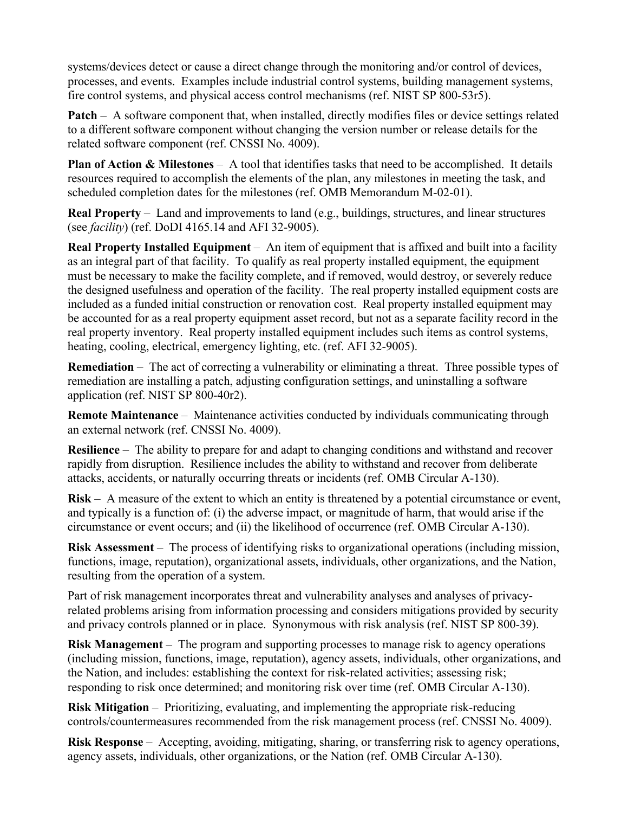systems/devices detect or cause a direct change through the monitoring and/or control of devices, processes, and events. Examples include industrial control systems, building management systems, fire control systems, and physical access control mechanisms (ref. NIST SP 800-53r5).

**Patch** – A software component that, when installed, directly modifies files or device settings related to a different software component without changing the version number or release details for the related software component (ref. CNSSI No. 4009).

**Plan of Action & Milestones** – A tool that identifies tasks that need to be accomplished. It details resources required to accomplish the elements of the plan, any milestones in meeting the task, and scheduled completion dates for the milestones (ref. OMB Memorandum M-02-01).

**Real Property** – Land and improvements to land (e.g., buildings, structures, and linear structures (see *facility*) (ref. DoDI 4165.14 and AFI 32-9005).

**Real Property Installed Equipment** – An item of equipment that is affixed and built into a facility as an integral part of that facility. To qualify as real property installed equipment, the equipment must be necessary to make the facility complete, and if removed, would destroy, or severely reduce the designed usefulness and operation of the facility. The real property installed equipment costs are included as a funded initial construction or renovation cost. Real property installed equipment may be accounted for as a real property equipment asset record, but not as a separate facility record in the real property inventory. Real property installed equipment includes such items as control systems, heating, cooling, electrical, emergency lighting, etc. (ref. AFI 32-9005).

**Remediation** – The act of correcting a vulnerability or eliminating a threat. Three possible types of remediation are installing a patch, adjusting configuration settings, and uninstalling a software application (ref. NIST SP 800-40r2).

**Remote Maintenance** – Maintenance activities conducted by individuals communicating through an external network (ref. CNSSI No. 4009).

**Resilience** – The ability to prepare for and adapt to changing conditions and withstand and recover rapidly from disruption. Resilience includes the ability to withstand and recover from deliberate attacks, accidents, or naturally occurring threats or incidents (ref. OMB Circular A-130).

**Risk** – A measure of the extent to which an entity is threatened by a potential circumstance or event, and typically is a function of: (i) the adverse impact, or magnitude of harm, that would arise if the circumstance or event occurs; and (ii) the likelihood of occurrence (ref. OMB Circular A-130).

**Risk Assessment** – The process of identifying risks to organizational operations (including mission, functions, image, reputation), organizational assets, individuals, other organizations, and the Nation, resulting from the operation of a system.

Part of risk management incorporates threat and vulnerability analyses and analyses of privacyrelated problems arising from information processing and considers mitigations provided by security and privacy controls planned or in place. Synonymous with risk analysis (ref. NIST SP 800-39).

**Risk Management** – The program and supporting processes to manage risk to agency operations (including mission, functions, image, reputation), agency assets, individuals, other organizations, and the Nation, and includes: establishing the context for risk-related activities; assessing risk; responding to risk once determined; and monitoring risk over time (ref. OMB Circular A-130).

**Risk Mitigation** – Prioritizing, evaluating, and implementing the appropriate risk-reducing controls/countermeasures recommended from the risk management process (ref. CNSSI No. 4009).

**Risk Response** – Accepting, avoiding, mitigating, sharing, or transferring risk to agency operations, agency assets, individuals, other organizations, or the Nation (ref. OMB Circular A-130).